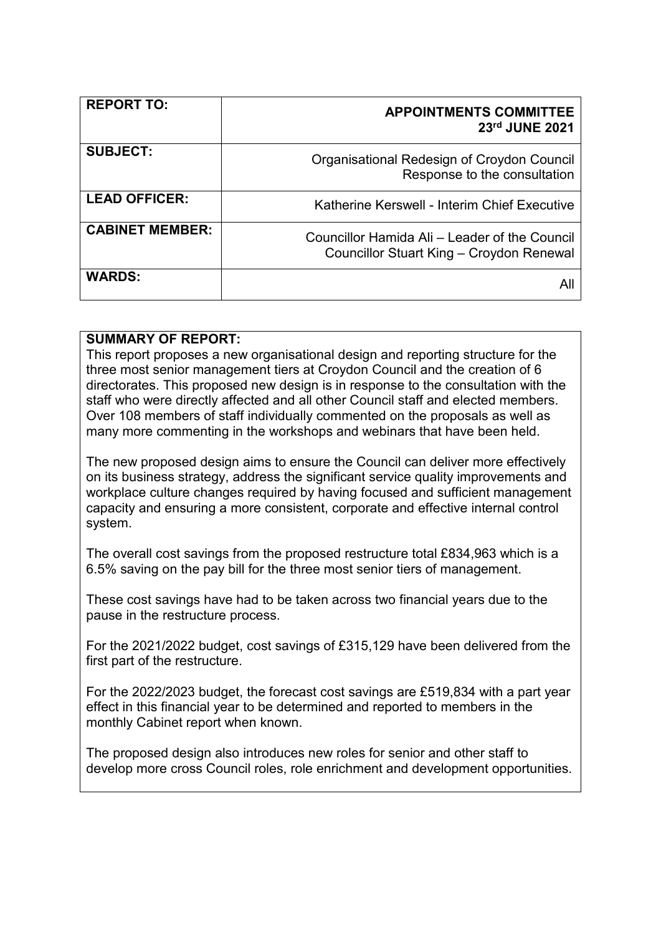| <b>REPORT TO:</b>      | <b>APPOINTMENTS COMMITTEE</b><br>23rd JUNE 2021                                           |
|------------------------|-------------------------------------------------------------------------------------------|
| <b>SUBJECT:</b>        | Organisational Redesign of Croydon Council<br>Response to the consultation                |
| <b>LEAD OFFICER:</b>   | Katherine Kerswell - Interim Chief Executive                                              |
| <b>CABINET MEMBER:</b> | Councillor Hamida Ali - Leader of the Council<br>Councillor Stuart King - Croydon Renewal |
| <b>WARDS:</b>          |                                                                                           |

### **SUMMARY OF REPORT:**

This report proposes a new organisational design and reporting structure for the three most senior management tiers at Croydon Council and the creation of 6 directorates. This proposed new design is in response to the consultation with the staff who were directly affected and all other Council staff and elected members. Over 108 members of staff individually commented on the proposals as well as many more commenting in the workshops and webinars that have been held.

The new proposed design aims to ensure the Council can deliver more effectively on its business strategy, address the significant service quality improvements and workplace culture changes required by having focused and sufficient management capacity and ensuring a more consistent, corporate and effective internal control system.

The overall cost savings from the proposed restructure total £834,963 which is a 6.5% saving on the pay bill for the three most senior tiers of management.

These cost savings have had to be taken across two financial years due to the pause in the restructure process.

For the 2021/2022 budget, cost savings of £315,129 have been delivered from the first part of the restructure.

For the 2022/2023 budget, the forecast cost savings are £519,834 with a part year effect in this financial year to be determined and reported to members in the monthly Cabinet report when known.

The proposed design also introduces new roles for senior and other staff to develop more cross Council roles, role enrichment and development opportunities.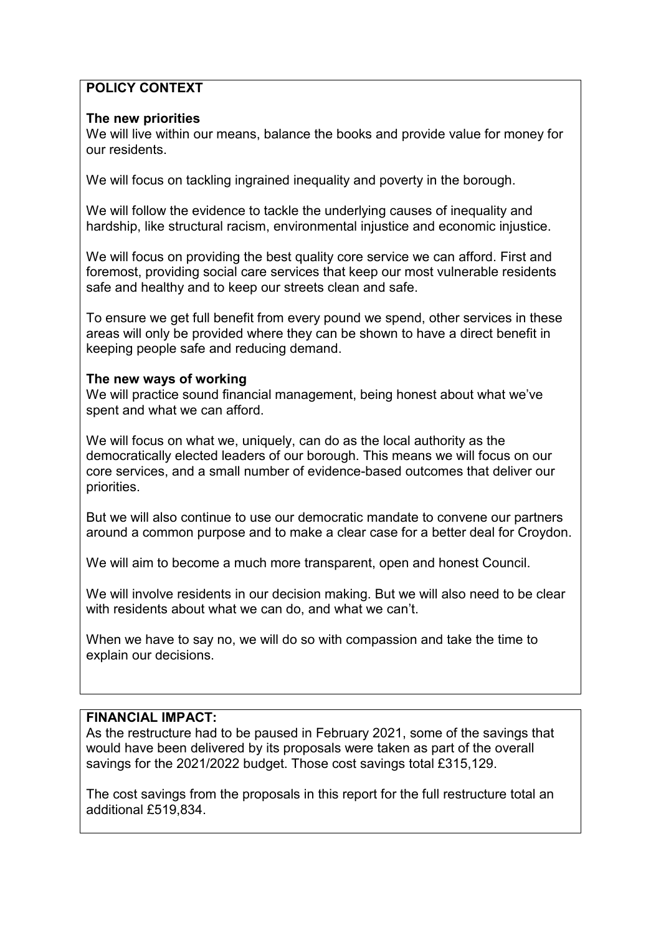## **POLICY CONTEXT**

### **The new priorities**

We will live within our means, balance the books and provide value for money for our residents.

We will focus on tackling ingrained inequality and poverty in the borough.

We will follow the evidence to tackle the underlying causes of inequality and hardship, like structural racism, environmental injustice and economic injustice.

We will focus on providing the best quality core service we can afford. First and foremost, providing social care services that keep our most vulnerable residents safe and healthy and to keep our streets clean and safe.

To ensure we get full benefit from every pound we spend, other services in these areas will only be provided where they can be shown to have a direct benefit in keeping people safe and reducing demand.

### **The new ways of working**

We will practice sound financial management, being honest about what we've spent and what we can afford.

We will focus on what we, uniquely, can do as the local authority as the democratically elected leaders of our borough. This means we will focus on our core services, and a small number of evidence-based outcomes that deliver our priorities.

But we will also continue to use our democratic mandate to convene our partners around a common purpose and to make a clear case for a better deal for Croydon.

We will aim to become a much more transparent, open and honest Council.

We will involve residents in our decision making. But we will also need to be clear with residents about what we can do, and what we can't.

When we have to say no, we will do so with compassion and take the time to explain our decisions.

# **FINANCIAL IMPACT:**

As the restructure had to be paused in February 2021, some of the savings that would have been delivered by its proposals were taken as part of the overall savings for the 2021/2022 budget. Those cost savings total £315,129.

The cost savings from the proposals in this report for the full restructure total an additional £519,834.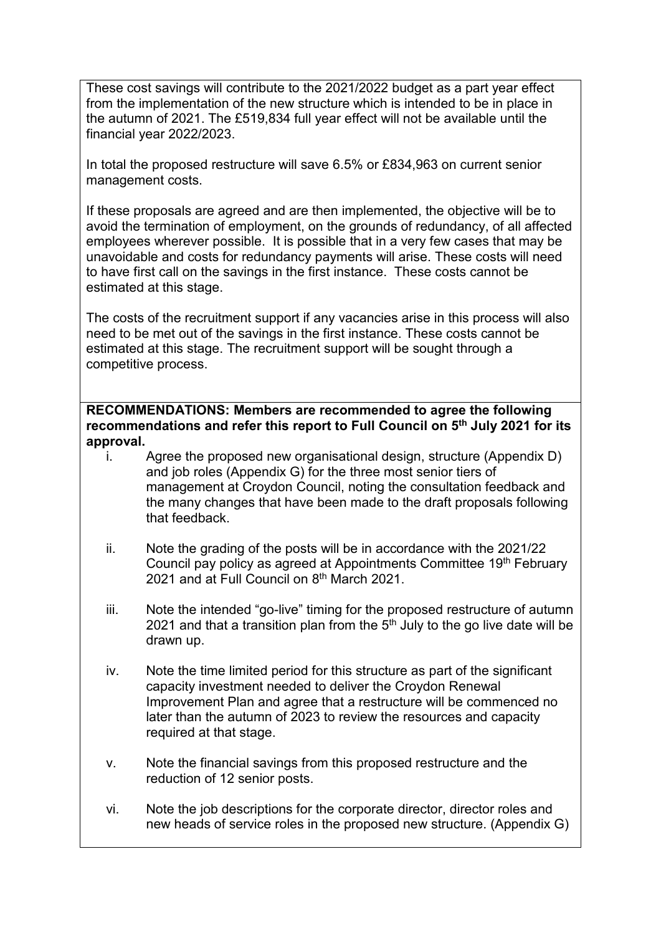These cost savings will contribute to the 2021/2022 budget as a part year effect from the implementation of the new structure which is intended to be in place in the autumn of 2021. The £519,834 full year effect will not be available until the financial year 2022/2023.

In total the proposed restructure will save 6.5% or £834,963 on current senior management costs.

If these proposals are agreed and are then implemented, the objective will be to avoid the termination of employment, on the grounds of redundancy, of all affected employees wherever possible. It is possible that in a very few cases that may be unavoidable and costs for redundancy payments will arise. These costs will need to have first call on the savings in the first instance. These costs cannot be estimated at this stage.

The costs of the recruitment support if any vacancies arise in this process will also need to be met out of the savings in the first instance. These costs cannot be estimated at this stage. The recruitment support will be sought through a competitive process.

**RECOMMENDATIONS: Members are recommended to agree the following recommendations and refer this report to Full Council on 5th July 2021 for its approval.** 

- i. Agree the proposed new organisational design, structure (Appendix D) and job roles (Appendix G) for the three most senior tiers of management at Croydon Council, noting the consultation feedback and the many changes that have been made to the draft proposals following that feedback.
- ii. Note the grading of the posts will be in accordance with the 2021/22 Council pay policy as agreed at Appointments Committee 19<sup>th</sup> February 2021 and at Full Council on 8th March 2021.
- iii. Note the intended "go-live" timing for the proposed restructure of autumn 2021 and that a transition plan from the  $5<sup>th</sup>$  July to the go live date will be drawn up.
- iv. Note the time limited period for this structure as part of the significant capacity investment needed to deliver the Croydon Renewal Improvement Plan and agree that a restructure will be commenced no later than the autumn of 2023 to review the resources and capacity required at that stage.
- v. Note the financial savings from this proposed restructure and the reduction of 12 senior posts.
- vi. Note the job descriptions for the corporate director, director roles and new heads of service roles in the proposed new structure. (Appendix G)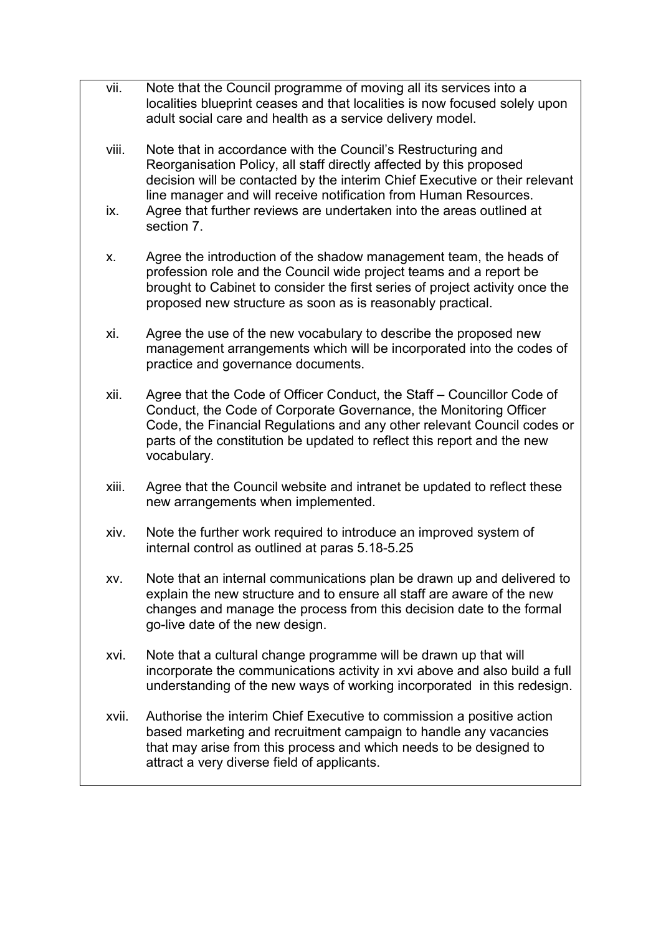- vii. Note that the Council programme of moving all its services into a localities blueprint ceases and that localities is now focused solely upon adult social care and health as a service delivery model.
- viii. Note that in accordance with the Council's Restructuring and Reorganisation Policy, all staff directly affected by this proposed decision will be contacted by the interim Chief Executive or their relevant line manager and will receive notification from Human Resources.
- ix. Agree that further reviews are undertaken into the areas outlined at section 7.
- x. Agree the introduction of the shadow management team, the heads of profession role and the Council wide project teams and a report be brought to Cabinet to consider the first series of project activity once the proposed new structure as soon as is reasonably practical.
- xi. Agree the use of the new vocabulary to describe the proposed new management arrangements which will be incorporated into the codes of practice and governance documents.
- xii. Agree that the Code of Officer Conduct, the Staff Councillor Code of Conduct, the Code of Corporate Governance, the Monitoring Officer Code, the Financial Regulations and any other relevant Council codes or parts of the constitution be updated to reflect this report and the new vocabulary.
- xiii. Agree that the Council website and intranet be updated to reflect these new arrangements when implemented.
- xiv. Note the further work required to introduce an improved system of internal control as outlined at paras 5.18-5.25
- xv. Note that an internal communications plan be drawn up and delivered to explain the new structure and to ensure all staff are aware of the new changes and manage the process from this decision date to the formal go-live date of the new design.
- xvi. Note that a cultural change programme will be drawn up that will incorporate the communications activity in xvi above and also build a full understanding of the new ways of working incorporated in this redesign.
- xvii. Authorise the interim Chief Executive to commission a positive action based marketing and recruitment campaign to handle any vacancies that may arise from this process and which needs to be designed to attract a very diverse field of applicants.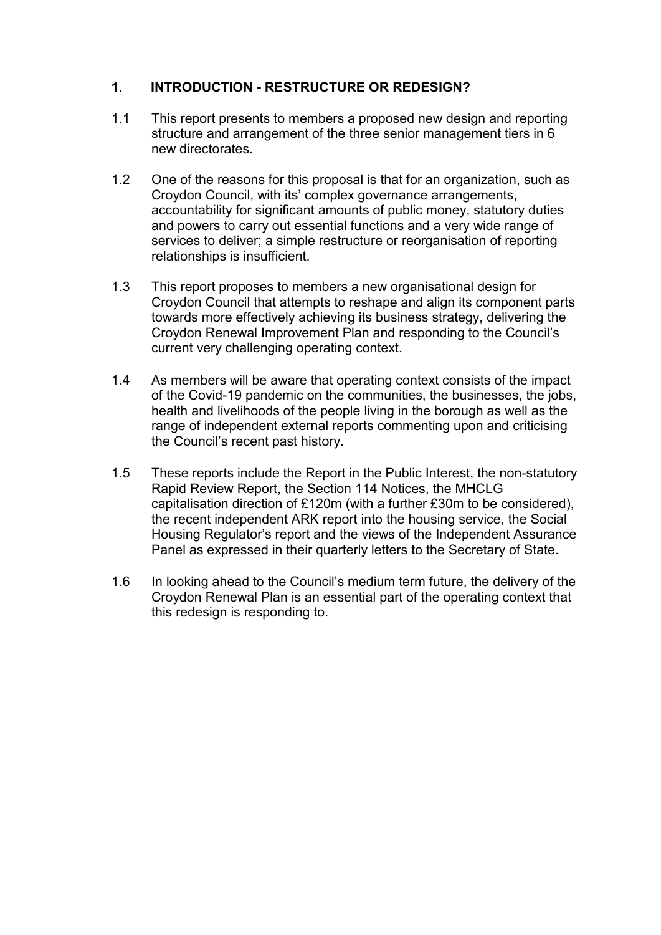## **1. INTRODUCTION - RESTRUCTURE OR REDESIGN?**

- 1.1 This report presents to members a proposed new design and reporting structure and arrangement of the three senior management tiers in 6 new directorates.
- 1.2 One of the reasons for this proposal is that for an organization, such as Croydon Council, with its' complex governance arrangements, accountability for significant amounts of public money, statutory duties and powers to carry out essential functions and a very wide range of services to deliver; a simple restructure or reorganisation of reporting relationships is insufficient.
- 1.3 This report proposes to members a new organisational design for Croydon Council that attempts to reshape and align its component parts towards more effectively achieving its business strategy, delivering the Croydon Renewal Improvement Plan and responding to the Council's current very challenging operating context.
- 1.4 As members will be aware that operating context consists of the impact of the Covid-19 pandemic on the communities, the businesses, the jobs, health and livelihoods of the people living in the borough as well as the range of independent external reports commenting upon and criticising the Council's recent past history.
- 1.5 These reports include the Report in the Public Interest, the non-statutory Rapid Review Report, the Section 114 Notices, the MHCLG capitalisation direction of £120m (with a further £30m to be considered), the recent independent ARK report into the housing service, the Social Housing Regulator's report and the views of the Independent Assurance Panel as expressed in their quarterly letters to the Secretary of State.
- 1.6 In looking ahead to the Council's medium term future, the delivery of the Croydon Renewal Plan is an essential part of the operating context that this redesign is responding to.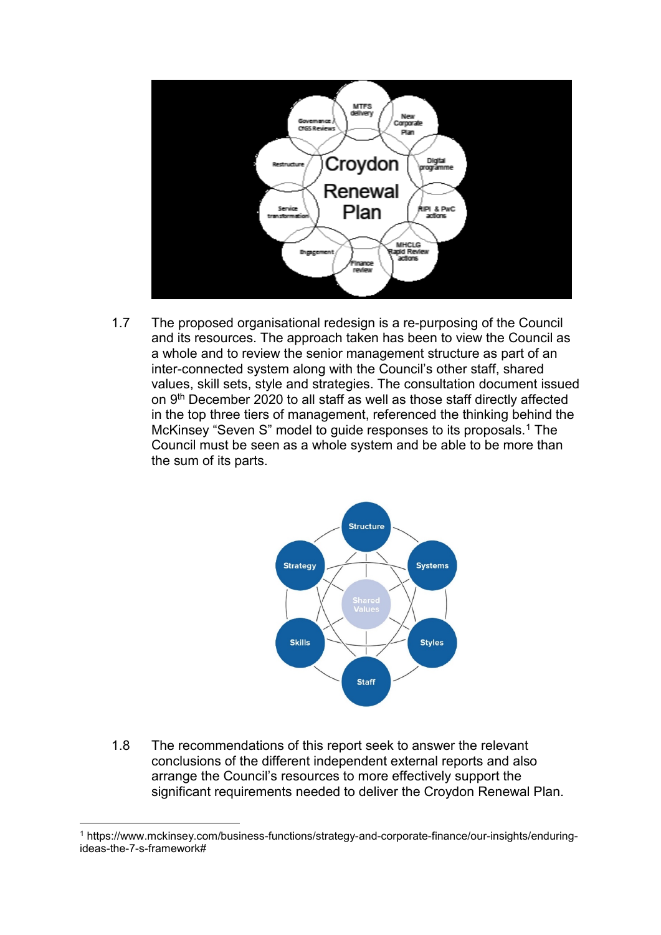

1.7 The proposed organisational redesign is a re-purposing of the Council and its resources. The approach taken has been to view the Council as a whole and to review the senior management structure as part of an inter-connected system along with the Council's other staff, shared values, skill sets, style and strategies. The consultation document issued on 9<sup>th</sup> December 2020 to all staff as well as those staff directly affected in the top three tiers of management, referenced the thinking behind the McKinsey "Seven S" model to guide responses to its proposals. [1](#page-5-0) The Council must be seen as a whole system and be able to be more than the sum of its parts.



1.8 The recommendations of this report seek to answer the relevant conclusions of the different independent external reports and also arrange the Council's resources to more effectively support the significant requirements needed to deliver the Croydon Renewal Plan.

<span id="page-5-1"></span><span id="page-5-0"></span> <sup>1</sup> https://www.mckinsey.com/business-functions/strategy-and-corporate-finance/our-insights/enduringideas-the-7-s-framework#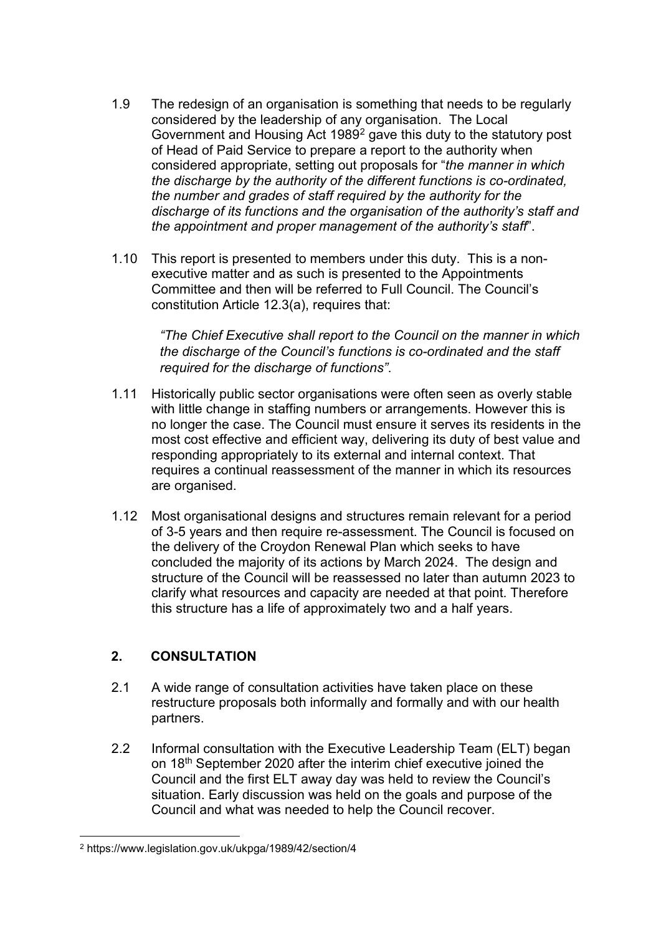- 1.9 The redesign of an organisation is something that needs to be regularly considered by the leadership of any organisation. The Local Government and Housing Act 1989<sup>[2](#page-5-1)</sup> gave this duty to the statutory post of Head of Paid Service to prepare a report to the authority when considered appropriate, setting out proposals for "*the manner in which the discharge by the authority of the different functions is co-ordinated, the number and grades of staff required by the authority for the discharge of its functions and the organisation of the authority's staff and the appointment and proper management of the authority's staff*".
- 1.10 This report is presented to members under this duty. This is a nonexecutive matter and as such is presented to the Appointments Committee and then will be referred to Full Council. The Council's constitution Article 12.3(a), requires that:

*"The Chief Executive shall report to the Council on the manner in which the discharge of the Council's functions is co-ordinated and the staff required for the discharge of functions"*.

- 1.11 Historically public sector organisations were often seen as overly stable with little change in staffing numbers or arrangements. However this is no longer the case. The Council must ensure it serves its residents in the most cost effective and efficient way, delivering its duty of best value and responding appropriately to its external and internal context. That requires a continual reassessment of the manner in which its resources are organised.
- 1.12 Most organisational designs and structures remain relevant for a period of 3-5 years and then require re-assessment. The Council is focused on the delivery of the Croydon Renewal Plan which seeks to have concluded the majority of its actions by March 2024. The design and structure of the Council will be reassessed no later than autumn 2023 to clarify what resources and capacity are needed at that point. Therefore this structure has a life of approximately two and a half years.

## **2. CONSULTATION**

- 2.1 A wide range of consultation activities have taken place on these restructure proposals both informally and formally and with our health partners.
- 2.2 Informal consultation with the Executive Leadership Team (ELT) began on 18th September 2020 after the interim chief executive joined the Council and the first ELT away day was held to review the Council's situation. Early discussion was held on the goals and purpose of the Council and what was needed to help the Council recover.

 <sup>2</sup> https://www.legislation.gov.uk/ukpga/1989/42/section/4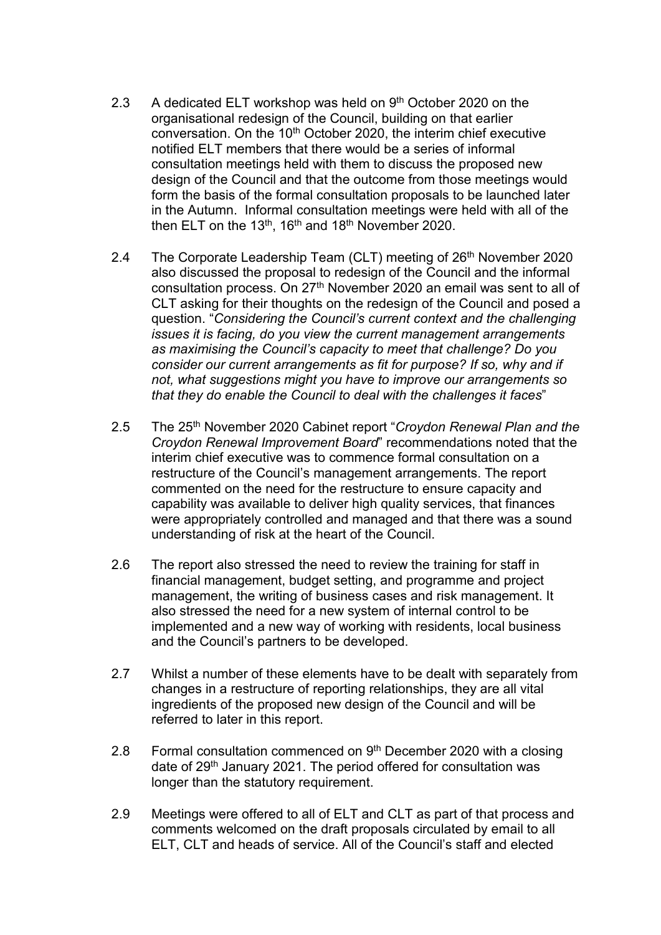- 2.3 A dedicated ELT workshop was held on  $9<sup>th</sup>$  October 2020 on the organisational redesign of the Council, building on that earlier conversation. On the  $10<sup>th</sup>$  October 2020, the interim chief executive notified ELT members that there would be a series of informal consultation meetings held with them to discuss the proposed new design of the Council and that the outcome from those meetings would form the basis of the formal consultation proposals to be launched later in the Autumn. Informal consultation meetings were held with all of the then ELT on the 13<sup>th</sup>, 16<sup>th</sup> and 18<sup>th</sup> November 2020.
- 2.4 The Corporate Leadership Team (CLT) meeting of 26<sup>th</sup> November 2020 also discussed the proposal to redesign of the Council and the informal consultation process. On 27<sup>th</sup> November 2020 an email was sent to all of CLT asking for their thoughts on the redesign of the Council and posed a question. "*Considering the Council's current context and the challenging issues it is facing, do you view the current management arrangements as maximising the Council's capacity to meet that challenge? Do you consider our current arrangements as fit for purpose? If so, why and if not, what suggestions might you have to improve our arrangements so that they do enable the Council to deal with the challenges it faces*"
- 2.5 The 25th November 2020 Cabinet report "*Croydon Renewal Plan and the Croydon Renewal Improvement Board*" recommendations noted that the interim chief executive was to commence formal consultation on a restructure of the Council's management arrangements. The report commented on the need for the restructure to ensure capacity and capability was available to deliver high quality services, that finances were appropriately controlled and managed and that there was a sound understanding of risk at the heart of the Council.
- 2.6 The report also stressed the need to review the training for staff in financial management, budget setting, and programme and project management, the writing of business cases and risk management. It also stressed the need for a new system of internal control to be implemented and a new way of working with residents, local business and the Council's partners to be developed.
- 2.7 Whilst a number of these elements have to be dealt with separately from changes in a restructure of reporting relationships, they are all vital ingredients of the proposed new design of the Council and will be referred to later in this report.
- 2.8 Formal consultation commenced on  $9<sup>th</sup>$  December 2020 with a closing date of 29<sup>th</sup> January 2021. The period offered for consultation was longer than the statutory requirement.
- 2.9 Meetings were offered to all of ELT and CLT as part of that process and comments welcomed on the draft proposals circulated by email to all ELT, CLT and heads of service. All of the Council's staff and elected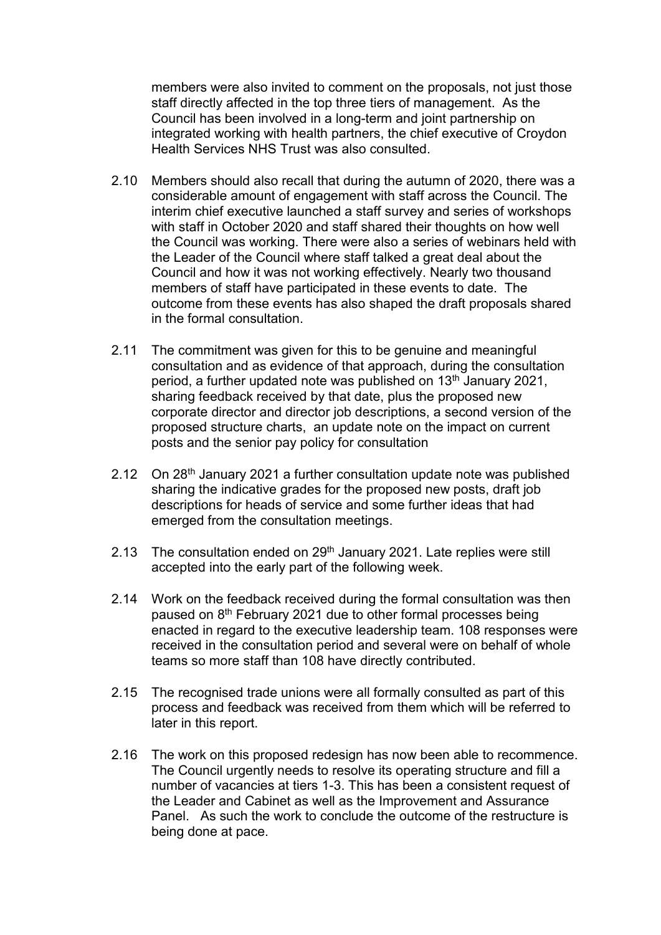members were also invited to comment on the proposals, not just those staff directly affected in the top three tiers of management. As the Council has been involved in a long-term and joint partnership on integrated working with health partners, the chief executive of Croydon Health Services NHS Trust was also consulted.

- 2.10 Members should also recall that during the autumn of 2020, there was a considerable amount of engagement with staff across the Council. The interim chief executive launched a staff survey and series of workshops with staff in October 2020 and staff shared their thoughts on how well the Council was working. There were also a series of webinars held with the Leader of the Council where staff talked a great deal about the Council and how it was not working effectively. Nearly two thousand members of staff have participated in these events to date. The outcome from these events has also shaped the draft proposals shared in the formal consultation.
- 2.11 The commitment was given for this to be genuine and meaningful consultation and as evidence of that approach, during the consultation period, a further updated note was published on 13<sup>th</sup> January 2021, sharing feedback received by that date, plus the proposed new corporate director and director job descriptions, a second version of the proposed structure charts, an update note on the impact on current posts and the senior pay policy for consultation
- 2.12 On 28<sup>th</sup> January 2021 a further consultation update note was published sharing the indicative grades for the proposed new posts, draft job descriptions for heads of service and some further ideas that had emerged from the consultation meetings.
- 2.13 The consultation ended on 29<sup>th</sup> January 2021. Late replies were still accepted into the early part of the following week.
- 2.14 Work on the feedback received during the formal consultation was then paused on 8th February 2021 due to other formal processes being enacted in regard to the executive leadership team. 108 responses were received in the consultation period and several were on behalf of whole teams so more staff than 108 have directly contributed.
- 2.15 The recognised trade unions were all formally consulted as part of this process and feedback was received from them which will be referred to later in this report.
- 2.16 The work on this proposed redesign has now been able to recommence. The Council urgently needs to resolve its operating structure and fill a number of vacancies at tiers 1-3. This has been a consistent request of the Leader and Cabinet as well as the Improvement and Assurance Panel. As such the work to conclude the outcome of the restructure is being done at pace.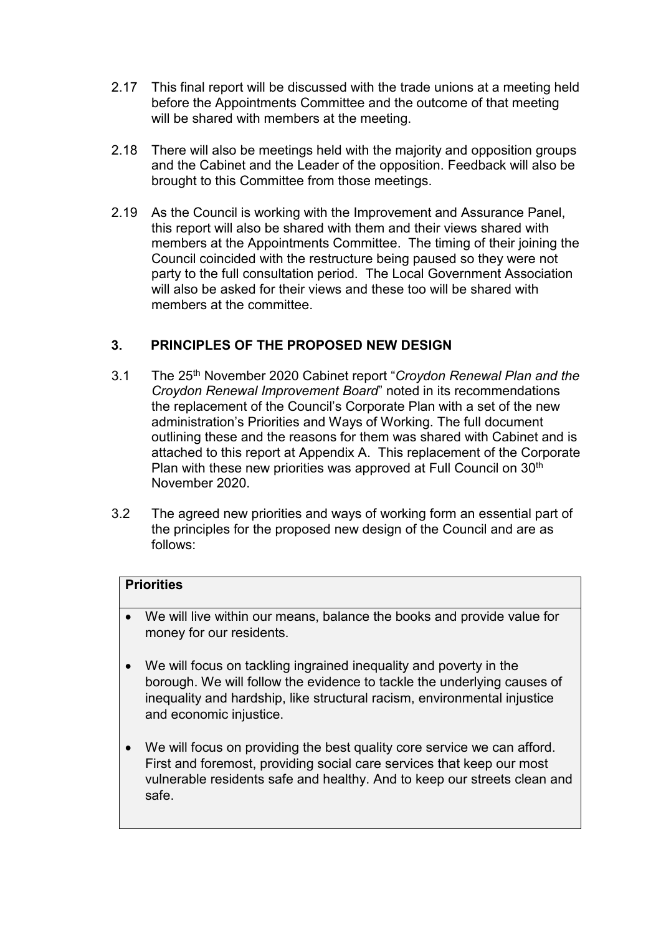- 2.17 This final report will be discussed with the trade unions at a meeting held before the Appointments Committee and the outcome of that meeting will be shared with members at the meeting.
- 2.18 There will also be meetings held with the majority and opposition groups and the Cabinet and the Leader of the opposition. Feedback will also be brought to this Committee from those meetings.
- 2.19 As the Council is working with the Improvement and Assurance Panel, this report will also be shared with them and their views shared with members at the Appointments Committee. The timing of their joining the Council coincided with the restructure being paused so they were not party to the full consultation period. The Local Government Association will also be asked for their views and these too will be shared with members at the committee.

## **3. PRINCIPLES OF THE PROPOSED NEW DESIGN**

- 3.1 The 25th November 2020 Cabinet report "*Croydon Renewal Plan and the Croydon Renewal Improvement Board*" noted in its recommendations the replacement of the Council's Corporate Plan with a set of the new administration's Priorities and Ways of Working. The full document outlining these and the reasons for them was shared with Cabinet and is attached to this report at Appendix A. This replacement of the Corporate Plan with these new priorities was approved at Full Council on 30<sup>th</sup> November 2020.
- 3.2 The agreed new priorities and ways of working form an essential part of the principles for the proposed new design of the Council and are as follows:

# **Priorities**

- We will live within our means, balance the books and provide value for money for our residents.
- We will focus on tackling ingrained inequality and poverty in the borough. We will follow the evidence to tackle the underlying causes of inequality and hardship, like structural racism, environmental injustice and economic injustice.
- We will focus on providing the best quality core service we can afford. First and foremost, providing social care services that keep our most vulnerable residents safe and healthy. And to keep our streets clean and safe.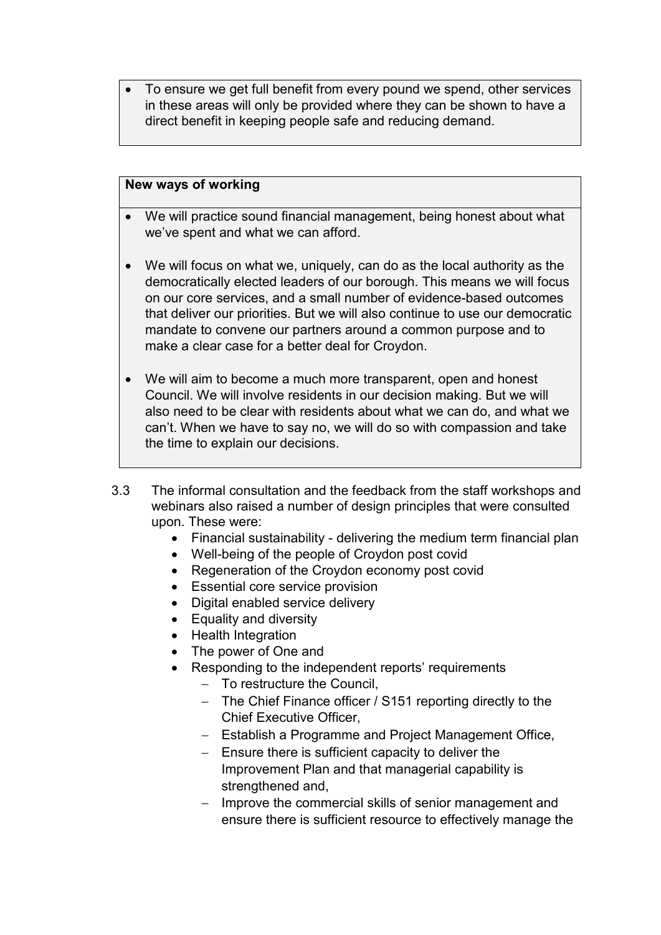• To ensure we get full benefit from every pound we spend, other services in these areas will only be provided where they can be shown to have a direct benefit in keeping people safe and reducing demand.

### **New ways of working**

- We will practice sound financial management, being honest about what we've spent and what we can afford.
- We will focus on what we, uniquely, can do as the local authority as the democratically elected leaders of our borough. This means we will focus on our core services, and a small number of evidence-based outcomes that deliver our priorities. But we will also continue to use our democratic mandate to convene our partners around a common purpose and to make a clear case for a better deal for Croydon.
- We will aim to become a much more transparent, open and honest Council. We will involve residents in our decision making. But we will also need to be clear with residents about what we can do, and what we can't. When we have to say no, we will do so with compassion and take the time to explain our decisions.
- 3.3 The informal consultation and the feedback from the staff workshops and webinars also raised a number of design principles that were consulted upon. These were:
	- Financial sustainability delivering the medium term financial plan
	- Well-being of the people of Croydon post covid
	- Regeneration of the Croydon economy post covid
	- Essential core service provision
	- Digital enabled service delivery
	- Equality and diversity
	- Health Integration
	- The power of One and
	- Responding to the independent reports' requirements
		- − To restructure the Council,
		- − The Chief Finance officer / S151 reporting directly to the Chief Executive Officer,
		- − Establish a Programme and Project Management Office,
		- − Ensure there is sufficient capacity to deliver the Improvement Plan and that managerial capability is strengthened and,
		- − Improve the commercial skills of senior management and ensure there is sufficient resource to effectively manage the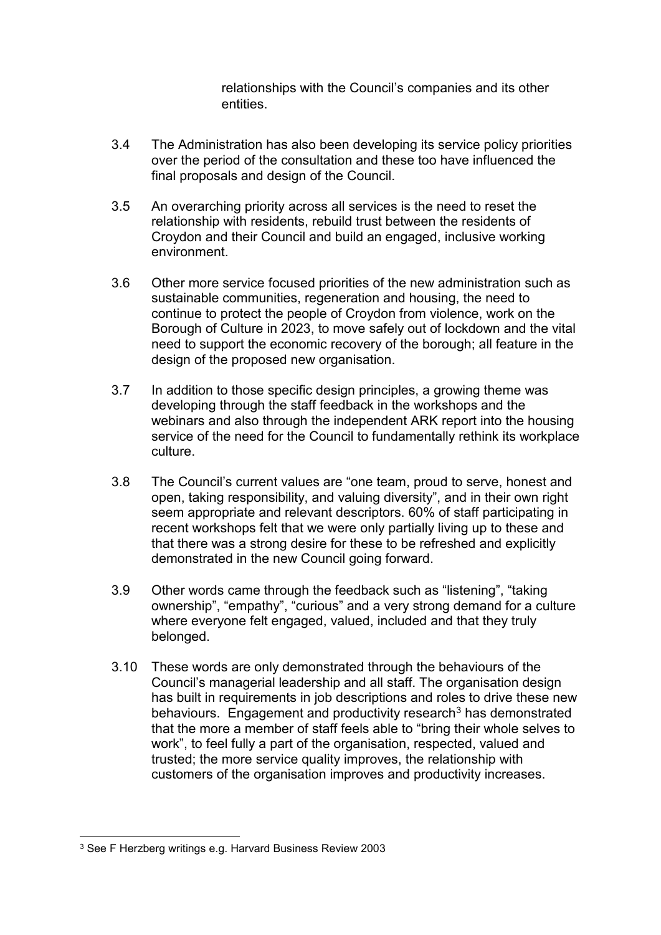relationships with the Council's companies and its other entities.

- 3.4 The Administration has also been developing its service policy priorities over the period of the consultation and these too have influenced the final proposals and design of the Council.
- 3.5 An overarching priority across all services is the need to reset the relationship with residents, rebuild trust between the residents of Croydon and their Council and build an engaged, inclusive working environment.
- 3.6 Other more service focused priorities of the new administration such as sustainable communities, regeneration and housing, the need to continue to protect the people of Croydon from violence, work on the Borough of Culture in 2023, to move safely out of lockdown and the vital need to support the economic recovery of the borough; all feature in the design of the proposed new organisation.
- 3.7 In addition to those specific design principles, a growing theme was developing through the staff feedback in the workshops and the webinars and also through the independent ARK report into the housing service of the need for the Council to fundamentally rethink its workplace culture.
- 3.8 The Council's current values are "one team, proud to serve, honest and open, taking responsibility, and valuing diversity", and in their own right seem appropriate and relevant descriptors. 60% of staff participating in recent workshops felt that we were only partially living up to these and that there was a strong desire for these to be refreshed and explicitly demonstrated in the new Council going forward.
- 3.9 Other words came through the feedback such as "listening", "taking ownership", "empathy", "curious" and a very strong demand for a culture where everyone felt engaged, valued, included and that they truly belonged.
- 3.10 These words are only demonstrated through the behaviours of the Council's managerial leadership and all staff. The organisation design has built in requirements in job descriptions and roles to drive these new behaviours. Engagement and productivity research<sup>[3](#page-11-0)</sup> has demonstrated that the more a member of staff feels able to "bring their whole selves to work", to feel fully a part of the organisation, respected, valued and trusted; the more service quality improves, the relationship with customers of the organisation improves and productivity increases.

<span id="page-11-1"></span><span id="page-11-0"></span> <sup>3</sup> See F Herzberg writings e.g. Harvard Business Review 2003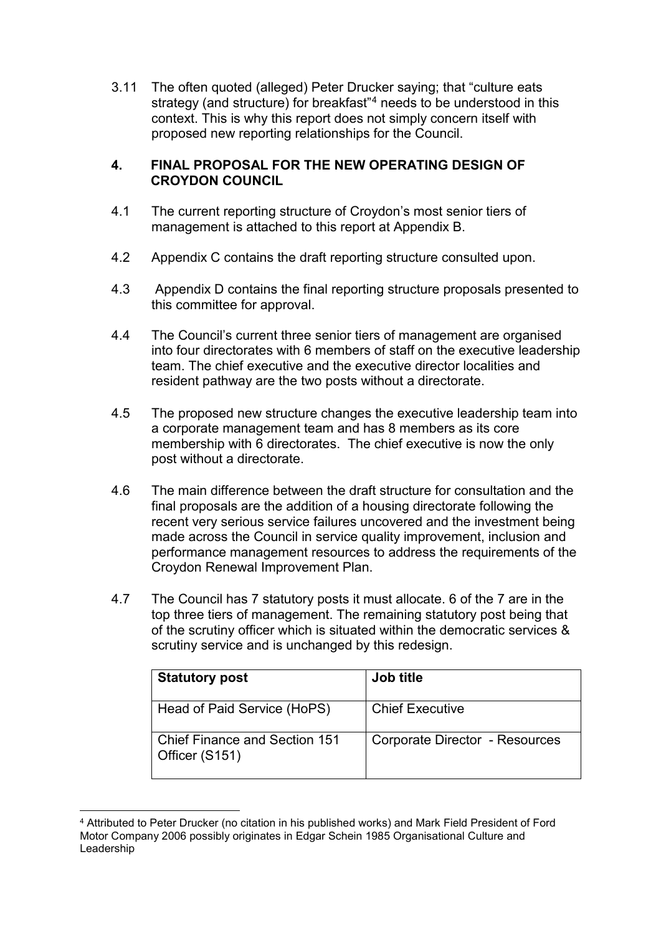3.11 The often quoted (alleged) Peter Drucker saying; that "culture eats strategy (and structure) for breakfast"[4](#page-11-1) needs to be understood in this context. This is why this report does not simply concern itself with proposed new reporting relationships for the Council.

### **4. FINAL PROPOSAL FOR THE NEW OPERATING DESIGN OF CROYDON COUNCIL**

- 4.1 The current reporting structure of Croydon's most senior tiers of management is attached to this report at Appendix B.
- 4.2 Appendix C contains the draft reporting structure consulted upon.
- 4.3 Appendix D contains the final reporting structure proposals presented to this committee for approval.
- 4.4 The Council's current three senior tiers of management are organised into four directorates with 6 members of staff on the executive leadership team. The chief executive and the executive director localities and resident pathway are the two posts without a directorate.
- 4.5 The proposed new structure changes the executive leadership team into a corporate management team and has 8 members as its core membership with 6 directorates. The chief executive is now the only post without a directorate.
- 4.6 The main difference between the draft structure for consultation and the final proposals are the addition of a housing directorate following the recent very serious service failures uncovered and the investment being made across the Council in service quality improvement, inclusion and performance management resources to address the requirements of the Croydon Renewal Improvement Plan.
- 4.7 The Council has 7 statutory posts it must allocate. 6 of the 7 are in the top three tiers of management. The remaining statutory post being that of the scrutiny officer which is situated within the democratic services & scrutiny service and is unchanged by this redesign.

| <b>Statutory post</b>                           | Job title                      |
|-------------------------------------------------|--------------------------------|
| Head of Paid Service (HoPS)                     | <b>Chief Executive</b>         |
| Chief Finance and Section 151<br>Officer (S151) | Corporate Director - Resources |

 <sup>4</sup> Attributed to Peter Drucker (no citation in his published works) and Mark Field President of Ford Motor Company 2006 possibly originates in Edgar Schein 1985 Organisational Culture and Leadership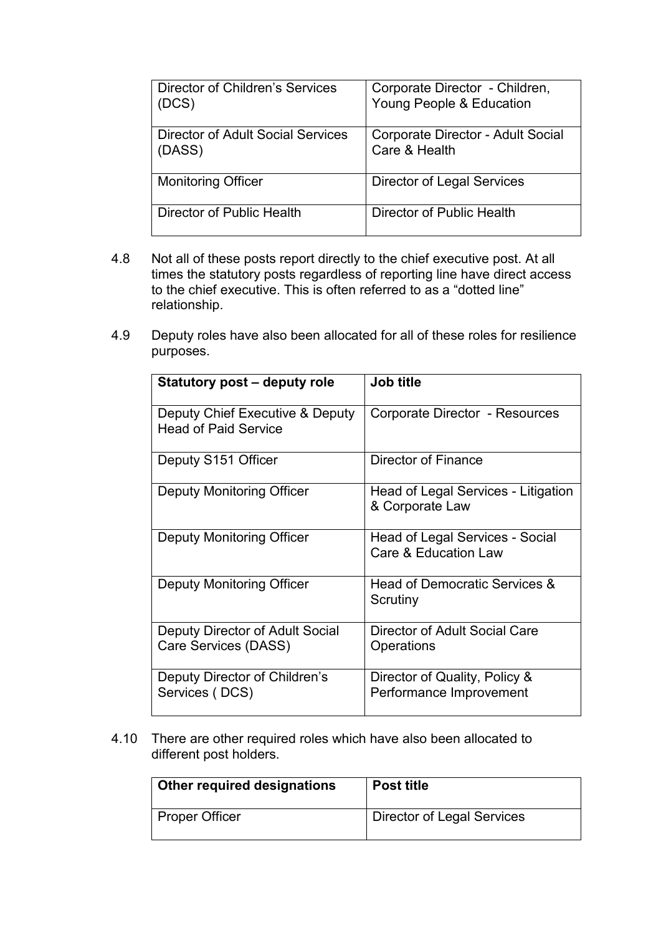| Director of Children's Services          | Corporate Director - Children,    |
|------------------------------------------|-----------------------------------|
| (DCS)                                    | Young People & Education          |
| <b>Director of Adult Social Services</b> | Corporate Director - Adult Social |
| (DASS)                                   | Care & Health                     |
| <b>Monitoring Officer</b>                | <b>Director of Legal Services</b> |
| Director of Public Health                | Director of Public Health         |

- 4.8 Not all of these posts report directly to the chief executive post. At all times the statutory posts regardless of reporting line have direct access to the chief executive. This is often referred to as a "dotted line" relationship.
- 4.9 Deputy roles have also been allocated for all of these roles for resilience purposes.

| Statutory post - deputy role                                   | <b>Job title</b>                                         |
|----------------------------------------------------------------|----------------------------------------------------------|
| Deputy Chief Executive & Deputy<br><b>Head of Paid Service</b> | Corporate Director - Resources                           |
| Deputy S151 Officer                                            | Director of Finance                                      |
| <b>Deputy Monitoring Officer</b>                               | Head of Legal Services - Litigation<br>& Corporate Law   |
| <b>Deputy Monitoring Officer</b>                               | Head of Legal Services - Social<br>Care & Education Law  |
| <b>Deputy Monitoring Officer</b>                               | Head of Democratic Services &<br>Scrutiny                |
| Deputy Director of Adult Social                                | Director of Adult Social Care                            |
| Care Services (DASS)                                           | Operations                                               |
| Deputy Director of Children's<br>Services (DCS)                | Director of Quality, Policy &<br>Performance Improvement |
|                                                                |                                                          |

4.10 There are other required roles which have also been allocated to different post holders.

| <b>Other required designations</b> | <b>Post title</b>          |
|------------------------------------|----------------------------|
| Proper Officer                     | Director of Legal Services |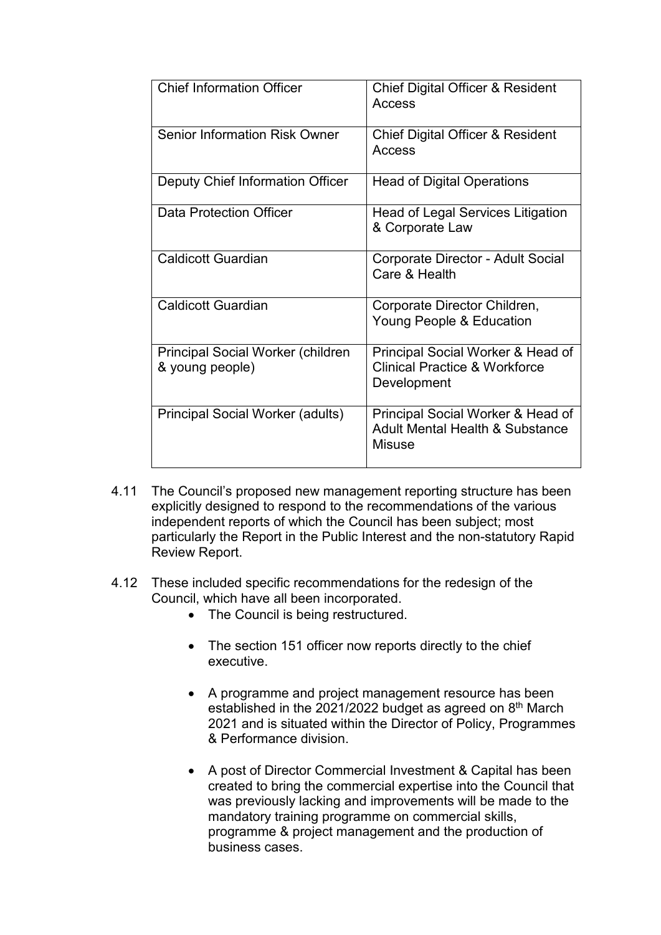| <b>Chief Information Officer</b>                            | <b>Chief Digital Officer &amp; Resident</b><br>Access                                            |
|-------------------------------------------------------------|--------------------------------------------------------------------------------------------------|
| <b>Senior Information Risk Owner</b>                        | <b>Chief Digital Officer &amp; Resident</b><br>Access                                            |
| Deputy Chief Information Officer                            | <b>Head of Digital Operations</b>                                                                |
| Data Protection Officer                                     | Head of Legal Services Litigation<br>& Corporate Law                                             |
| <b>Caldicott Guardian</b>                                   | Corporate Director - Adult Social<br>Care & Health                                               |
| <b>Caldicott Guardian</b>                                   | Corporate Director Children,<br>Young People & Education                                         |
| <b>Principal Social Worker (children</b><br>& young people) | Principal Social Worker & Head of<br><b>Clinical Practice &amp; Workforce</b><br>Development     |
| <b>Principal Social Worker (adults)</b>                     | Principal Social Worker & Head of<br><b>Adult Mental Health &amp; Substance</b><br><b>Misuse</b> |

- 4.11 The Council's proposed new management reporting structure has been explicitly designed to respond to the recommendations of the various independent reports of which the Council has been subject; most particularly the Report in the Public Interest and the non-statutory Rapid Review Report.
- 4.12 These included specific recommendations for the redesign of the Council, which have all been incorporated.
	- The Council is being restructured.
	- The section 151 officer now reports directly to the chief executive.
	- A programme and project management resource has been established in the 2021/2022 budget as agreed on  $8<sup>th</sup>$  March 2021 and is situated within the Director of Policy, Programmes & Performance division.
	- A post of Director Commercial Investment & Capital has been created to bring the commercial expertise into the Council that was previously lacking and improvements will be made to the mandatory training programme on commercial skills, programme & project management and the production of business cases.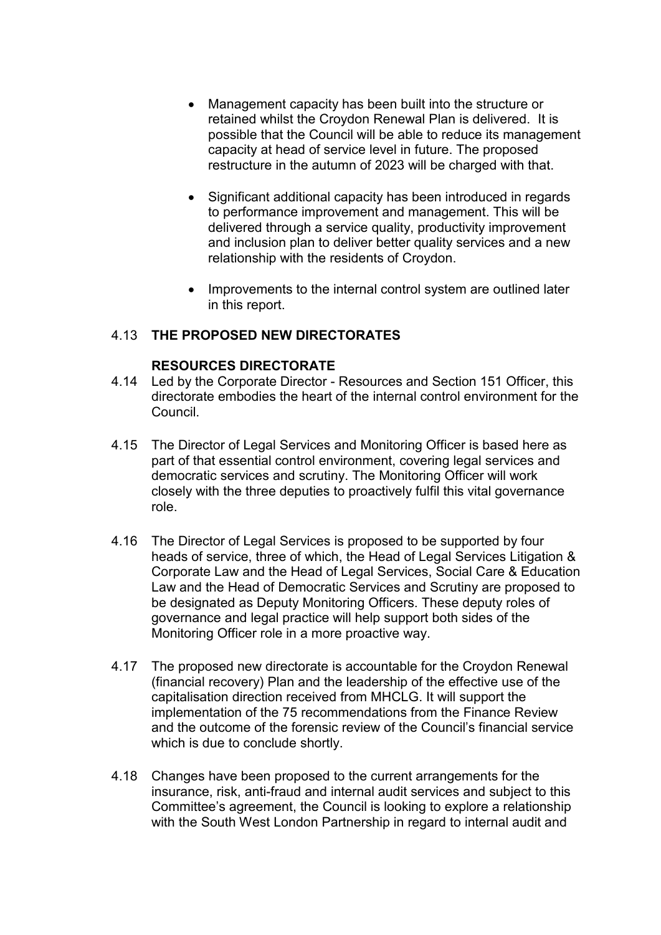- Management capacity has been built into the structure or retained whilst the Croydon Renewal Plan is delivered. It is possible that the Council will be able to reduce its management capacity at head of service level in future. The proposed restructure in the autumn of 2023 will be charged with that.
- Significant additional capacity has been introduced in regards to performance improvement and management. This will be delivered through a service quality, productivity improvement and inclusion plan to deliver better quality services and a new relationship with the residents of Croydon.
- Improvements to the internal control system are outlined later in this report.

## 4.13 **THE PROPOSED NEW DIRECTORATES**

### **RESOURCES DIRECTORATE**

- 4.14 Led by the Corporate Director Resources and Section 151 Officer, this directorate embodies the heart of the internal control environment for the Council.
- 4.15 The Director of Legal Services and Monitoring Officer is based here as part of that essential control environment, covering legal services and democratic services and scrutiny. The Monitoring Officer will work closely with the three deputies to proactively fulfil this vital governance role.
- 4.16 The Director of Legal Services is proposed to be supported by four heads of service, three of which, the Head of Legal Services Litigation & Corporate Law and the Head of Legal Services, Social Care & Education Law and the Head of Democratic Services and Scrutiny are proposed to be designated as Deputy Monitoring Officers. These deputy roles of governance and legal practice will help support both sides of the Monitoring Officer role in a more proactive way.
- 4.17 The proposed new directorate is accountable for the Croydon Renewal (financial recovery) Plan and the leadership of the effective use of the capitalisation direction received from MHCLG. It will support the implementation of the 75 recommendations from the Finance Review and the outcome of the forensic review of the Council's financial service which is due to conclude shortly.
- 4.18 Changes have been proposed to the current arrangements for the insurance, risk, anti-fraud and internal audit services and subject to this Committee's agreement, the Council is looking to explore a relationship with the South West London Partnership in regard to internal audit and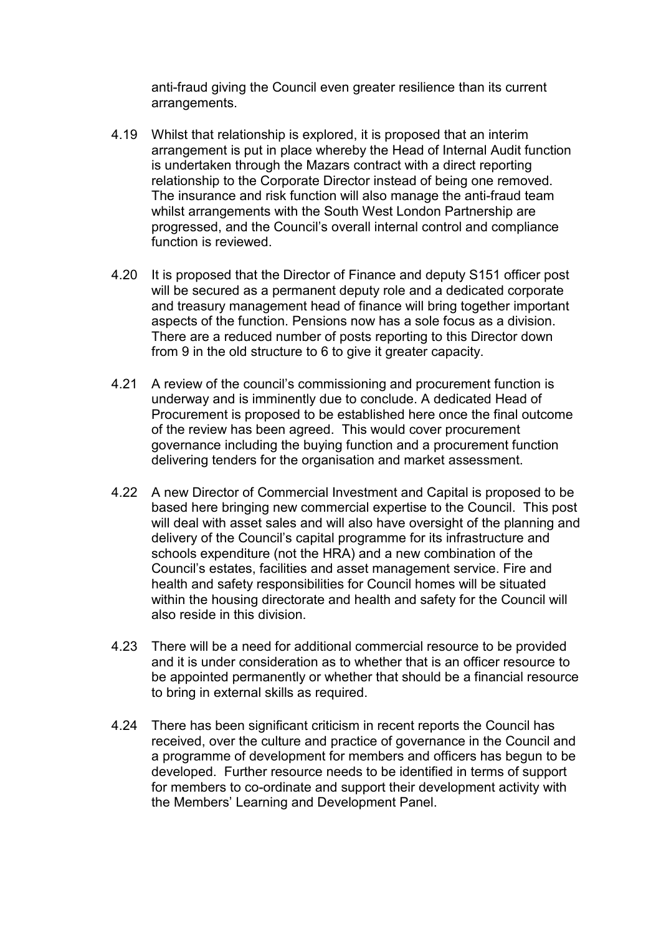anti-fraud giving the Council even greater resilience than its current arrangements.

- 4.19 Whilst that relationship is explored, it is proposed that an interim arrangement is put in place whereby the Head of Internal Audit function is undertaken through the Mazars contract with a direct reporting relationship to the Corporate Director instead of being one removed. The insurance and risk function will also manage the anti-fraud team whilst arrangements with the South West London Partnership are progressed, and the Council's overall internal control and compliance function is reviewed.
- 4.20 It is proposed that the Director of Finance and deputy S151 officer post will be secured as a permanent deputy role and a dedicated corporate and treasury management head of finance will bring together important aspects of the function. Pensions now has a sole focus as a division. There are a reduced number of posts reporting to this Director down from 9 in the old structure to 6 to give it greater capacity.
- 4.21 A review of the council's commissioning and procurement function is underway and is imminently due to conclude. A dedicated Head of Procurement is proposed to be established here once the final outcome of the review has been agreed. This would cover procurement governance including the buying function and a procurement function delivering tenders for the organisation and market assessment.
- 4.22 A new Director of Commercial Investment and Capital is proposed to be based here bringing new commercial expertise to the Council. This post will deal with asset sales and will also have oversight of the planning and delivery of the Council's capital programme for its infrastructure and schools expenditure (not the HRA) and a new combination of the Council's estates, facilities and asset management service. Fire and health and safety responsibilities for Council homes will be situated within the housing directorate and health and safety for the Council will also reside in this division.
- 4.23 There will be a need for additional commercial resource to be provided and it is under consideration as to whether that is an officer resource to be appointed permanently or whether that should be a financial resource to bring in external skills as required.
- 4.24 There has been significant criticism in recent reports the Council has received, over the culture and practice of governance in the Council and a programme of development for members and officers has begun to be developed. Further resource needs to be identified in terms of support for members to co-ordinate and support their development activity with the Members' Learning and Development Panel.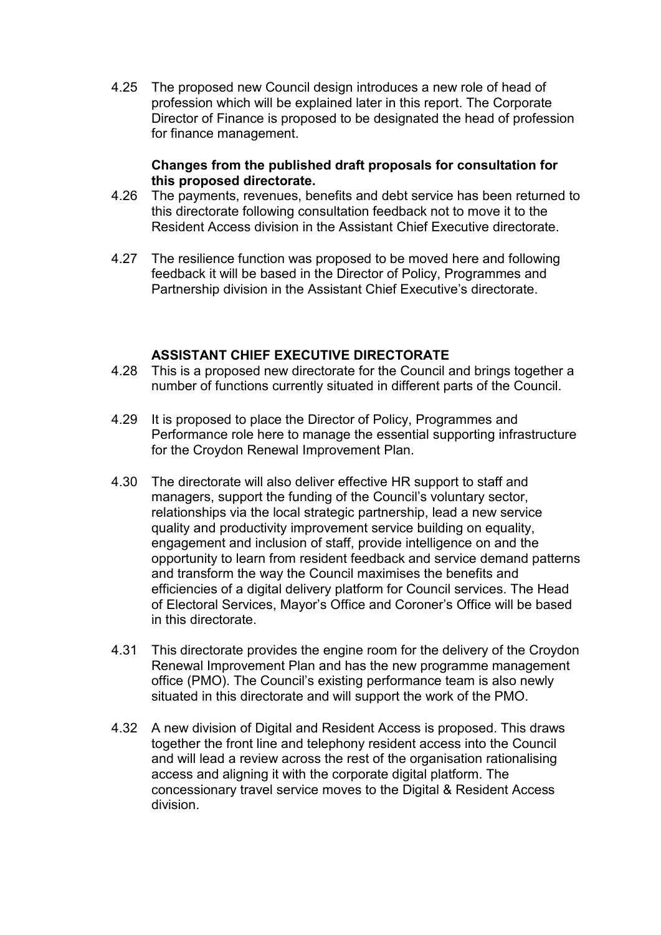4.25 The proposed new Council design introduces a new role of head of profession which will be explained later in this report. The Corporate Director of Finance is proposed to be designated the head of profession for finance management.

#### **Changes from the published draft proposals for consultation for this proposed directorate.**

- 4.26 The payments, revenues, benefits and debt service has been returned to this directorate following consultation feedback not to move it to the Resident Access division in the Assistant Chief Executive directorate.
- 4.27 The resilience function was proposed to be moved here and following feedback it will be based in the Director of Policy, Programmes and Partnership division in the Assistant Chief Executive's directorate.

#### **ASSISTANT CHIEF EXECUTIVE DIRECTORATE**

- 4.28 This is a proposed new directorate for the Council and brings together a number of functions currently situated in different parts of the Council.
- 4.29 It is proposed to place the Director of Policy, Programmes and Performance role here to manage the essential supporting infrastructure for the Croydon Renewal Improvement Plan.
- 4.30 The directorate will also deliver effective HR support to staff and managers, support the funding of the Council's voluntary sector, relationships via the local strategic partnership, lead a new service quality and productivity improvement service building on equality, engagement and inclusion of staff, provide intelligence on and the opportunity to learn from resident feedback and service demand patterns and transform the way the Council maximises the benefits and efficiencies of a digital delivery platform for Council services. The Head of Electoral Services, Mayor's Office and Coroner's Office will be based in this directorate.
- 4.31 This directorate provides the engine room for the delivery of the Croydon Renewal Improvement Plan and has the new programme management office (PMO). The Council's existing performance team is also newly situated in this directorate and will support the work of the PMO.
- 4.32 A new division of Digital and Resident Access is proposed. This draws together the front line and telephony resident access into the Council and will lead a review across the rest of the organisation rationalising access and aligning it with the corporate digital platform. The concessionary travel service moves to the Digital & Resident Access division.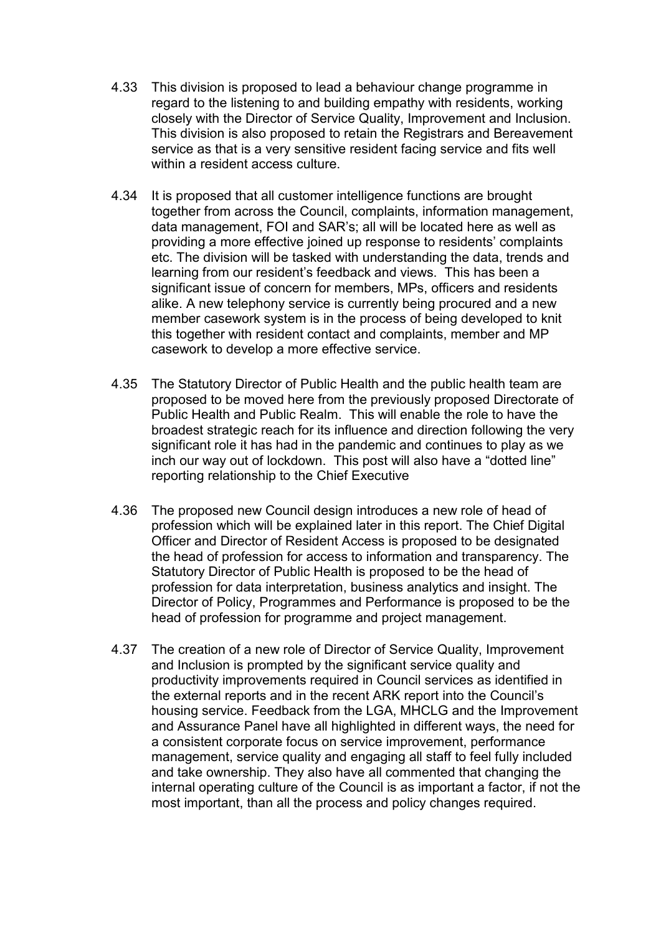- 4.33 This division is proposed to lead a behaviour change programme in regard to the listening to and building empathy with residents, working closely with the Director of Service Quality, Improvement and Inclusion. This division is also proposed to retain the Registrars and Bereavement service as that is a very sensitive resident facing service and fits well within a resident access culture.
- 4.34 It is proposed that all customer intelligence functions are brought together from across the Council, complaints, information management, data management, FOI and SAR's; all will be located here as well as providing a more effective joined up response to residents' complaints etc. The division will be tasked with understanding the data, trends and learning from our resident's feedback and views. This has been a significant issue of concern for members, MPs, officers and residents alike. A new telephony service is currently being procured and a new member casework system is in the process of being developed to knit this together with resident contact and complaints, member and MP casework to develop a more effective service.
- 4.35 The Statutory Director of Public Health and the public health team are proposed to be moved here from the previously proposed Directorate of Public Health and Public Realm. This will enable the role to have the broadest strategic reach for its influence and direction following the very significant role it has had in the pandemic and continues to play as we inch our way out of lockdown. This post will also have a "dotted line" reporting relationship to the Chief Executive
- 4.36 The proposed new Council design introduces a new role of head of profession which will be explained later in this report. The Chief Digital Officer and Director of Resident Access is proposed to be designated the head of profession for access to information and transparency. The Statutory Director of Public Health is proposed to be the head of profession for data interpretation, business analytics and insight. The Director of Policy, Programmes and Performance is proposed to be the head of profession for programme and project management.
- 4.37 The creation of a new role of Director of Service Quality, Improvement and Inclusion is prompted by the significant service quality and productivity improvements required in Council services as identified in the external reports and in the recent ARK report into the Council's housing service. Feedback from the LGA, MHCLG and the Improvement and Assurance Panel have all highlighted in different ways, the need for a consistent corporate focus on service improvement, performance management, service quality and engaging all staff to feel fully included and take ownership. They also have all commented that changing the internal operating culture of the Council is as important a factor, if not the most important, than all the process and policy changes required.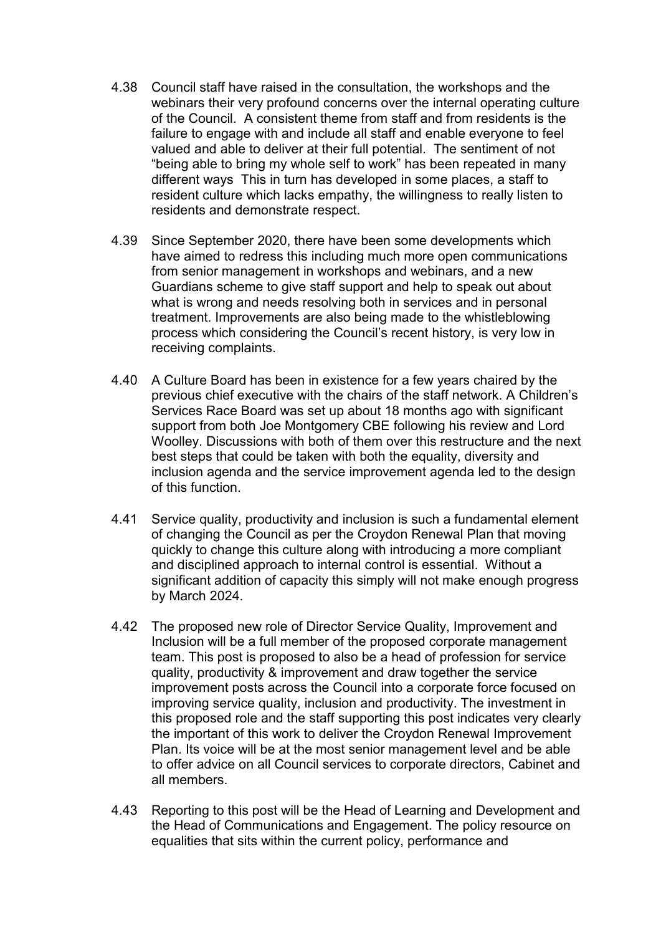- 4.38 Council staff have raised in the consultation, the workshops and the webinars their very profound concerns over the internal operating culture of the Council. A consistent theme from staff and from residents is the failure to engage with and include all staff and enable everyone to feel valued and able to deliver at their full potential. The sentiment of not "being able to bring my whole self to work" has been repeated in many different ways This in turn has developed in some places, a staff to resident culture which lacks empathy, the willingness to really listen to residents and demonstrate respect.
- 4.39 Since September 2020, there have been some developments which have aimed to redress this including much more open communications from senior management in workshops and webinars, and a new Guardians scheme to give staff support and help to speak out about what is wrong and needs resolving both in services and in personal treatment. Improvements are also being made to the whistleblowing process which considering the Council's recent history, is very low in receiving complaints.
- 4.40 A Culture Board has been in existence for a few years chaired by the previous chief executive with the chairs of the staff network. A Children's Services Race Board was set up about 18 months ago with significant support from both Joe Montgomery CBE following his review and Lord Woolley. Discussions with both of them over this restructure and the next best steps that could be taken with both the equality, diversity and inclusion agenda and the service improvement agenda led to the design of this function.
- 4.41 Service quality, productivity and inclusion is such a fundamental element of changing the Council as per the Croydon Renewal Plan that moving quickly to change this culture along with introducing a more compliant and disciplined approach to internal control is essential. Without a significant addition of capacity this simply will not make enough progress by March 2024.
- 4.42 The proposed new role of Director Service Quality, Improvement and Inclusion will be a full member of the proposed corporate management team. This post is proposed to also be a head of profession for service quality, productivity & improvement and draw together the service improvement posts across the Council into a corporate force focused on improving service quality, inclusion and productivity. The investment in this proposed role and the staff supporting this post indicates very clearly the important of this work to deliver the Croydon Renewal Improvement Plan. Its voice will be at the most senior management level and be able to offer advice on all Council services to corporate directors, Cabinet and all members.
- 4.43 Reporting to this post will be the Head of Learning and Development and the Head of Communications and Engagement. The policy resource on equalities that sits within the current policy, performance and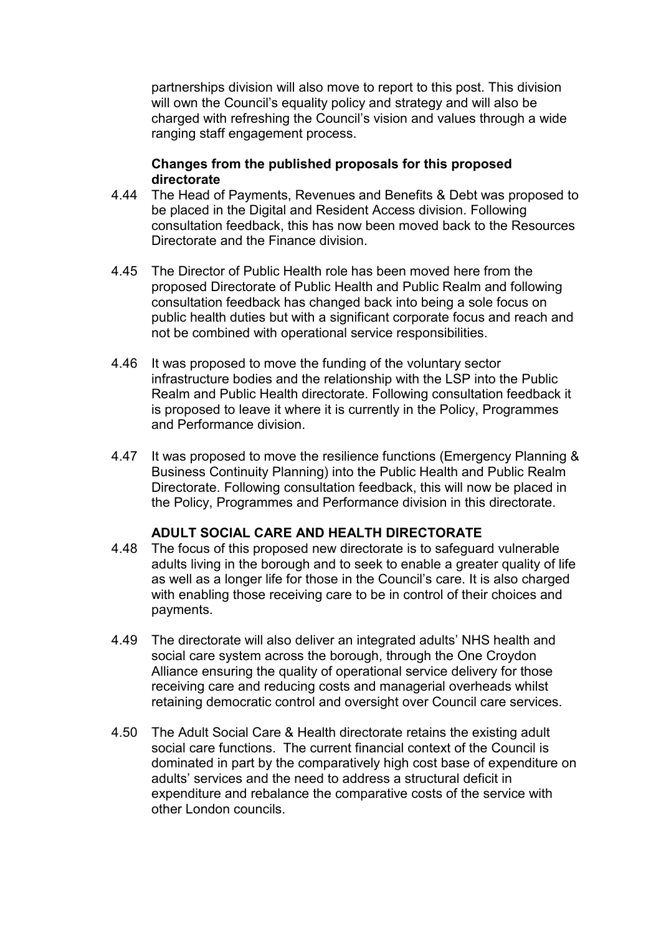partnerships division will also move to report to this post. This division will own the Council's equality policy and strategy and will also be charged with refreshing the Council's vision and values through a wide ranging staff engagement process.

#### **Changes from the published proposals for this proposed directorate**

- 4.44 The Head of Payments, Revenues and Benefits & Debt was proposed to be placed in the Digital and Resident Access division. Following consultation feedback, this has now been moved back to the Resources Directorate and the Finance division.
- 4.45 The Director of Public Health role has been moved here from the proposed Directorate of Public Health and Public Realm and following consultation feedback has changed back into being a sole focus on public health duties but with a significant corporate focus and reach and not be combined with operational service responsibilities.
- 4.46 It was proposed to move the funding of the voluntary sector infrastructure bodies and the relationship with the LSP into the Public Realm and Public Health directorate. Following consultation feedback it is proposed to leave it where it is currently in the Policy, Programmes and Performance division.
- 4.47 It was proposed to move the resilience functions (Emergency Planning & Business Continuity Planning) into the Public Health and Public Realm Directorate. Following consultation feedback, this will now be placed in the Policy, Programmes and Performance division in this directorate.

## **ADULT SOCIAL CARE AND HEALTH DIRECTORATE**

- 4.48 The focus of this proposed new directorate is to safeguard vulnerable adults living in the borough and to seek to enable a greater quality of life as well as a longer life for those in the Council's care. It is also charged with enabling those receiving care to be in control of their choices and payments.
- 4.49 The directorate will also deliver an integrated adults' NHS health and social care system across the borough, through the One Croydon Alliance ensuring the quality of operational service delivery for those receiving care and reducing costs and managerial overheads whilst retaining democratic control and oversight over Council care services.
- 4.50 The Adult Social Care & Health directorate retains the existing adult social care functions. The current financial context of the Council is dominated in part by the comparatively high cost base of expenditure on adults' services and the need to address a structural deficit in expenditure and rebalance the comparative costs of the service with other London councils.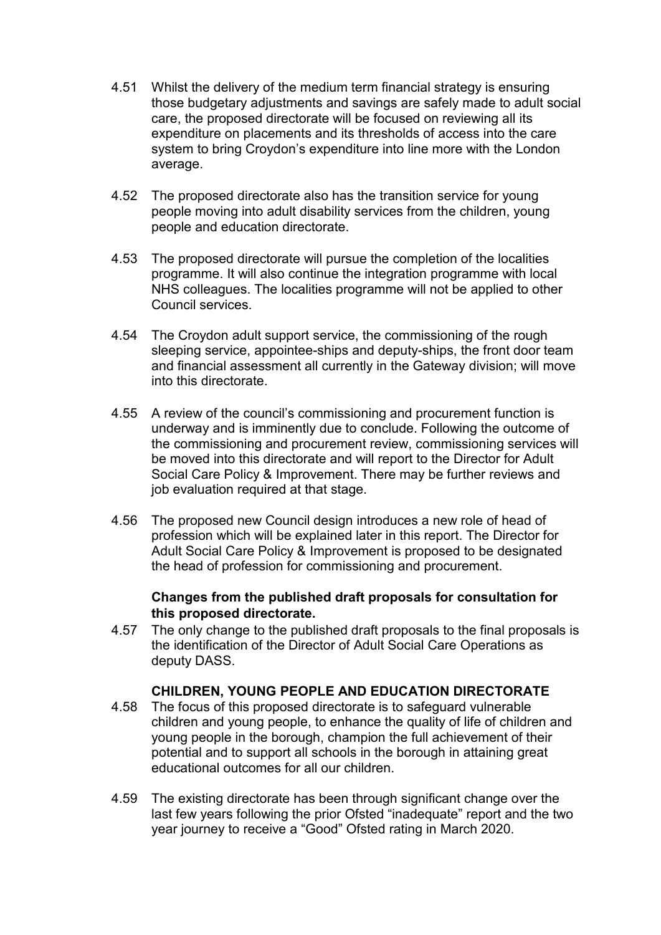- 4.51 Whilst the delivery of the medium term financial strategy is ensuring those budgetary adjustments and savings are safely made to adult social care, the proposed directorate will be focused on reviewing all its expenditure on placements and its thresholds of access into the care system to bring Croydon's expenditure into line more with the London average.
- 4.52 The proposed directorate also has the transition service for young people moving into adult disability services from the children, young people and education directorate.
- 4.53 The proposed directorate will pursue the completion of the localities programme. It will also continue the integration programme with local NHS colleagues. The localities programme will not be applied to other Council services.
- 4.54 The Croydon adult support service, the commissioning of the rough sleeping service, appointee-ships and deputy-ships, the front door team and financial assessment all currently in the Gateway division; will move into this directorate.
- 4.55 A review of the council's commissioning and procurement function is underway and is imminently due to conclude. Following the outcome of the commissioning and procurement review, commissioning services will be moved into this directorate and will report to the Director for Adult Social Care Policy & Improvement. There may be further reviews and job evaluation required at that stage.
- 4.56 The proposed new Council design introduces a new role of head of profession which will be explained later in this report. The Director for Adult Social Care Policy & Improvement is proposed to be designated the head of profession for commissioning and procurement.

### **Changes from the published draft proposals for consultation for this proposed directorate.**

4.57 The only change to the published draft proposals to the final proposals is the identification of the Director of Adult Social Care Operations as deputy DASS.

## **CHILDREN, YOUNG PEOPLE AND EDUCATION DIRECTORATE**

- 4.58 The focus of this proposed directorate is to safeguard vulnerable children and young people, to enhance the quality of life of children and young people in the borough, champion the full achievement of their potential and to support all schools in the borough in attaining great educational outcomes for all our children.
- 4.59 The existing directorate has been through significant change over the last few years following the prior Ofsted "inadequate" report and the two year journey to receive a "Good" Ofsted rating in March 2020.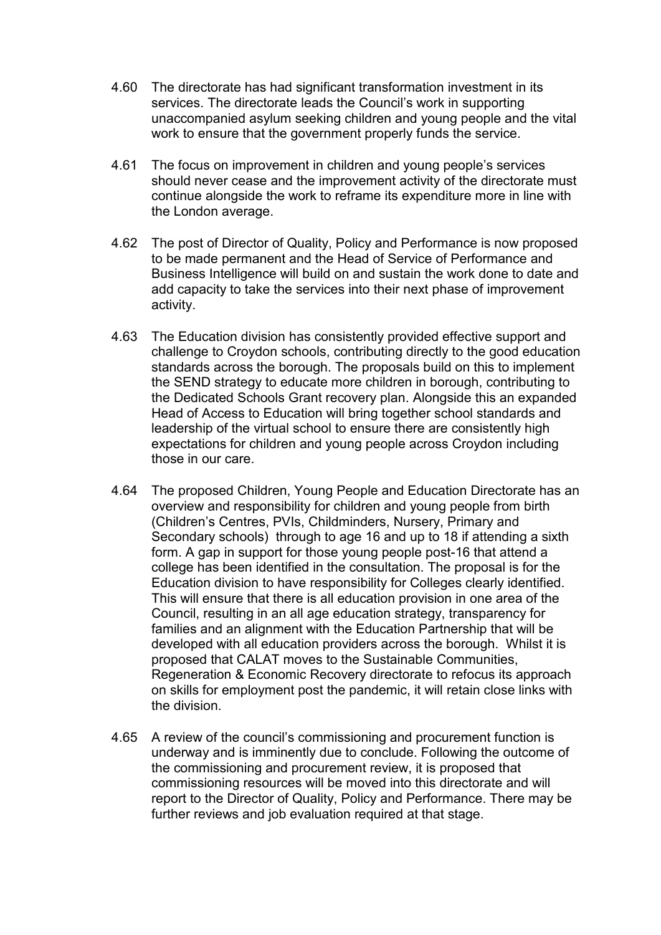- 4.60 The directorate has had significant transformation investment in its services. The directorate leads the Council's work in supporting unaccompanied asylum seeking children and young people and the vital work to ensure that the government properly funds the service.
- 4.61 The focus on improvement in children and young people's services should never cease and the improvement activity of the directorate must continue alongside the work to reframe its expenditure more in line with the London average.
- 4.62 The post of Director of Quality, Policy and Performance is now proposed to be made permanent and the Head of Service of Performance and Business Intelligence will build on and sustain the work done to date and add capacity to take the services into their next phase of improvement activity.
- 4.63 The Education division has consistently provided effective support and challenge to Croydon schools, contributing directly to the good education standards across the borough. The proposals build on this to implement the SEND strategy to educate more children in borough, contributing to the Dedicated Schools Grant recovery plan. Alongside this an expanded Head of Access to Education will bring together school standards and leadership of the virtual school to ensure there are consistently high expectations for children and young people across Croydon including those in our care.
- 4.64 The proposed Children, Young People and Education Directorate has an overview and responsibility for children and young people from birth (Children's Centres, PVIs, Childminders, Nursery, Primary and Secondary schools) through to age 16 and up to 18 if attending a sixth form. A gap in support for those young people post-16 that attend a college has been identified in the consultation. The proposal is for the Education division to have responsibility for Colleges clearly identified. This will ensure that there is all education provision in one area of the Council, resulting in an all age education strategy, transparency for families and an alignment with the Education Partnership that will be developed with all education providers across the borough. Whilst it is proposed that CALAT moves to the Sustainable Communities, Regeneration & Economic Recovery directorate to refocus its approach on skills for employment post the pandemic, it will retain close links with the division.
- 4.65 A review of the council's commissioning and procurement function is underway and is imminently due to conclude. Following the outcome of the commissioning and procurement review, it is proposed that commissioning resources will be moved into this directorate and will report to the Director of Quality, Policy and Performance. There may be further reviews and job evaluation required at that stage.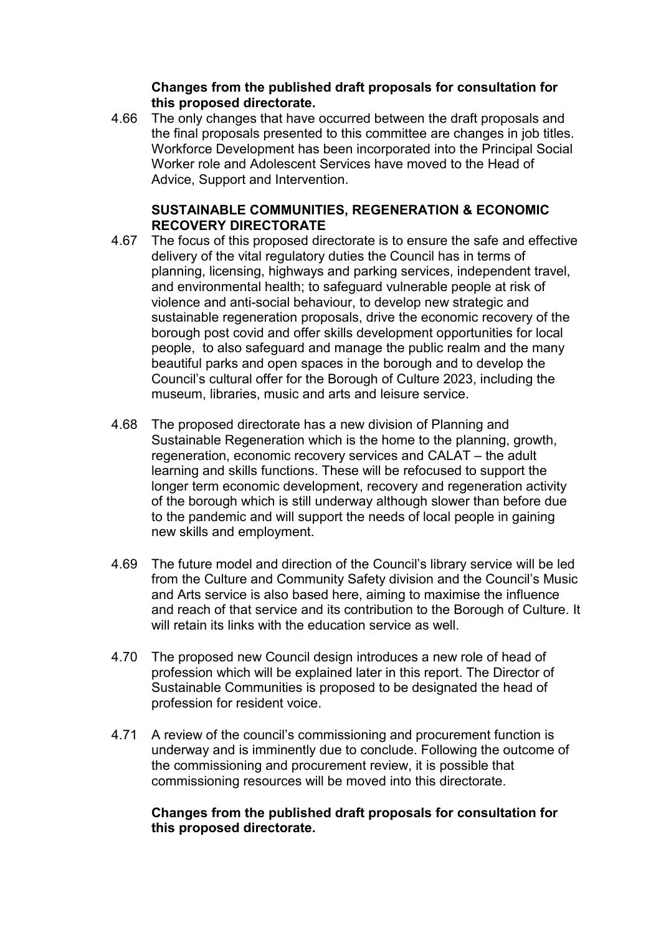#### **Changes from the published draft proposals for consultation for this proposed directorate.**

4.66 The only changes that have occurred between the draft proposals and the final proposals presented to this committee are changes in job titles. Workforce Development has been incorporated into the Principal Social Worker role and Adolescent Services have moved to the Head of Advice, Support and Intervention.

#### **SUSTAINABLE COMMUNITIES, REGENERATION & ECONOMIC RECOVERY DIRECTORATE**

- 4.67 The focus of this proposed directorate is to ensure the safe and effective delivery of the vital regulatory duties the Council has in terms of planning, licensing, highways and parking services, independent travel, and environmental health; to safeguard vulnerable people at risk of violence and anti-social behaviour, to develop new strategic and sustainable regeneration proposals, drive the economic recovery of the borough post covid and offer skills development opportunities for local people, to also safeguard and manage the public realm and the many beautiful parks and open spaces in the borough and to develop the Council's cultural offer for the Borough of Culture 2023, including the museum, libraries, music and arts and leisure service.
- 4.68 The proposed directorate has a new division of Planning and Sustainable Regeneration which is the home to the planning, growth, regeneration, economic recovery services and CALAT – the adult learning and skills functions. These will be refocused to support the longer term economic development, recovery and regeneration activity of the borough which is still underway although slower than before due to the pandemic and will support the needs of local people in gaining new skills and employment.
- 4.69 The future model and direction of the Council's library service will be led from the Culture and Community Safety division and the Council's Music and Arts service is also based here, aiming to maximise the influence and reach of that service and its contribution to the Borough of Culture. It will retain its links with the education service as well.
- 4.70 The proposed new Council design introduces a new role of head of profession which will be explained later in this report. The Director of Sustainable Communities is proposed to be designated the head of profession for resident voice.
- 4.71 A review of the council's commissioning and procurement function is underway and is imminently due to conclude. Following the outcome of the commissioning and procurement review, it is possible that commissioning resources will be moved into this directorate.

#### **Changes from the published draft proposals for consultation for this proposed directorate.**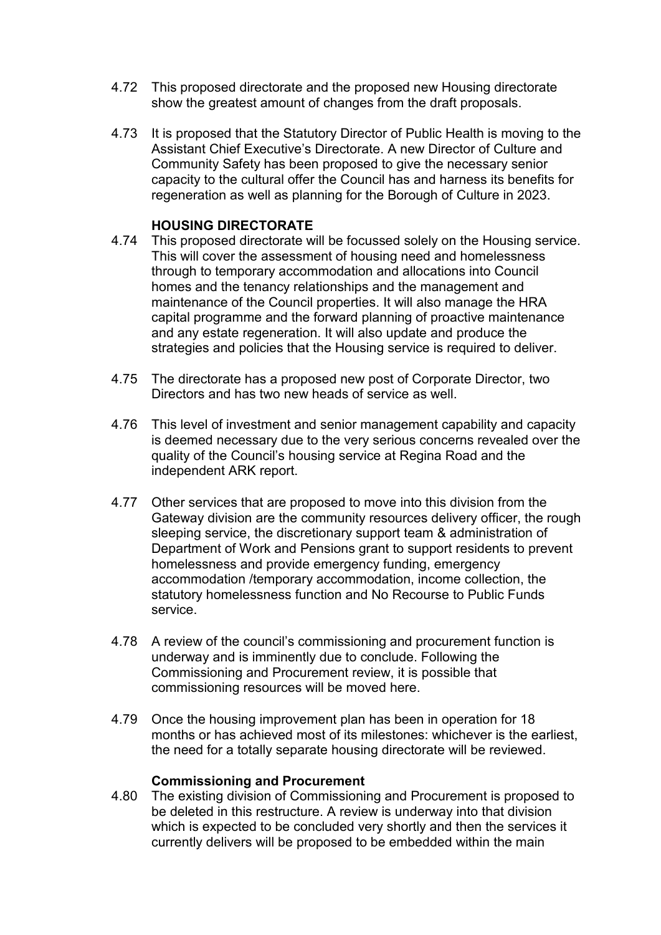- 4.72 This proposed directorate and the proposed new Housing directorate show the greatest amount of changes from the draft proposals.
- 4.73 It is proposed that the Statutory Director of Public Health is moving to the Assistant Chief Executive's Directorate. A new Director of Culture and Community Safety has been proposed to give the necessary senior capacity to the cultural offer the Council has and harness its benefits for regeneration as well as planning for the Borough of Culture in 2023.

### **HOUSING DIRECTORATE**

- 4.74 This proposed directorate will be focussed solely on the Housing service. This will cover the assessment of housing need and homelessness through to temporary accommodation and allocations into Council homes and the tenancy relationships and the management and maintenance of the Council properties. It will also manage the HRA capital programme and the forward planning of proactive maintenance and any estate regeneration. It will also update and produce the strategies and policies that the Housing service is required to deliver.
- 4.75 The directorate has a proposed new post of Corporate Director, two Directors and has two new heads of service as well.
- 4.76 This level of investment and senior management capability and capacity is deemed necessary due to the very serious concerns revealed over the quality of the Council's housing service at Regina Road and the independent ARK report.
- 4.77 Other services that are proposed to move into this division from the Gateway division are the community resources delivery officer, the rough sleeping service, the discretionary support team & administration of Department of Work and Pensions grant to support residents to prevent homelessness and provide emergency funding, emergency accommodation /temporary accommodation, income collection, the statutory homelessness function and No Recourse to Public Funds service.
- 4.78 A review of the council's commissioning and procurement function is underway and is imminently due to conclude. Following the Commissioning and Procurement review, it is possible that commissioning resources will be moved here.
- 4.79 Once the housing improvement plan has been in operation for 18 months or has achieved most of its milestones: whichever is the earliest, the need for a totally separate housing directorate will be reviewed.

#### **Commissioning and Procurement**

4.80 The existing division of Commissioning and Procurement is proposed to be deleted in this restructure. A review is underway into that division which is expected to be concluded very shortly and then the services it currently delivers will be proposed to be embedded within the main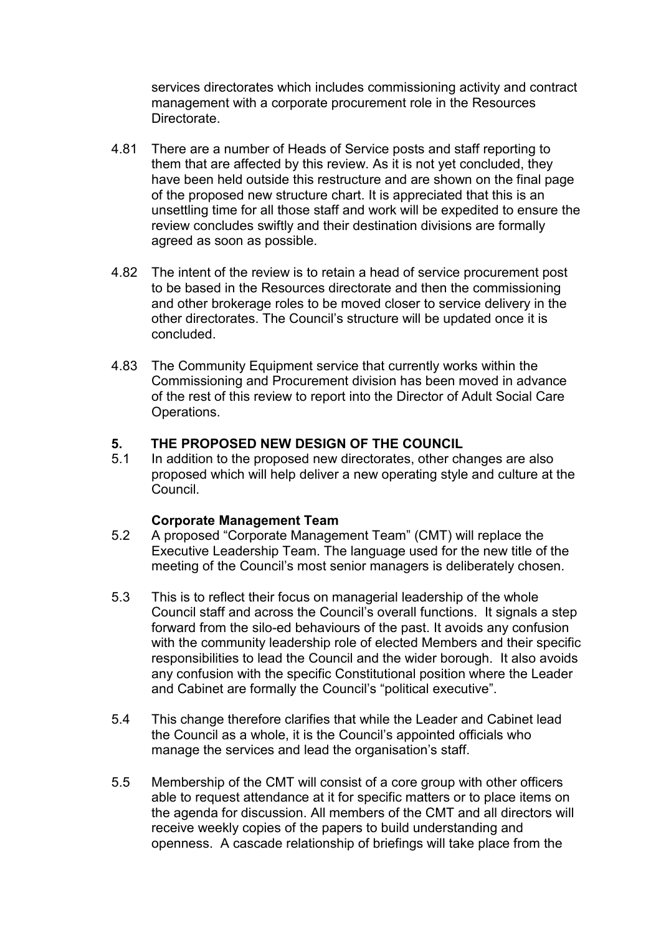services directorates which includes commissioning activity and contract management with a corporate procurement role in the Resources Directorate.

- 4.81 There are a number of Heads of Service posts and staff reporting to them that are affected by this review. As it is not yet concluded, they have been held outside this restructure and are shown on the final page of the proposed new structure chart. It is appreciated that this is an unsettling time for all those staff and work will be expedited to ensure the review concludes swiftly and their destination divisions are formally agreed as soon as possible.
- 4.82 The intent of the review is to retain a head of service procurement post to be based in the Resources directorate and then the commissioning and other brokerage roles to be moved closer to service delivery in the other directorates. The Council's structure will be updated once it is concluded.
- 4.83 The Community Equipment service that currently works within the Commissioning and Procurement division has been moved in advance of the rest of this review to report into the Director of Adult Social Care Operations.

### **5. THE PROPOSED NEW DESIGN OF THE COUNCIL**

5.1 In addition to the proposed new directorates, other changes are also proposed which will help deliver a new operating style and culture at the Council.

#### **Corporate Management Team**

- 5.2 A proposed "Corporate Management Team" (CMT) will replace the Executive Leadership Team. The language used for the new title of the meeting of the Council's most senior managers is deliberately chosen.
- 5.3 This is to reflect their focus on managerial leadership of the whole Council staff and across the Council's overall functions. It signals a step forward from the silo-ed behaviours of the past. It avoids any confusion with the community leadership role of elected Members and their specific responsibilities to lead the Council and the wider borough. It also avoids any confusion with the specific Constitutional position where the Leader and Cabinet are formally the Council's "political executive".
- 5.4 This change therefore clarifies that while the Leader and Cabinet lead the Council as a whole, it is the Council's appointed officials who manage the services and lead the organisation's staff.
- 5.5 Membership of the CMT will consist of a core group with other officers able to request attendance at it for specific matters or to place items on the agenda for discussion. All members of the CMT and all directors will receive weekly copies of the papers to build understanding and openness. A cascade relationship of briefings will take place from the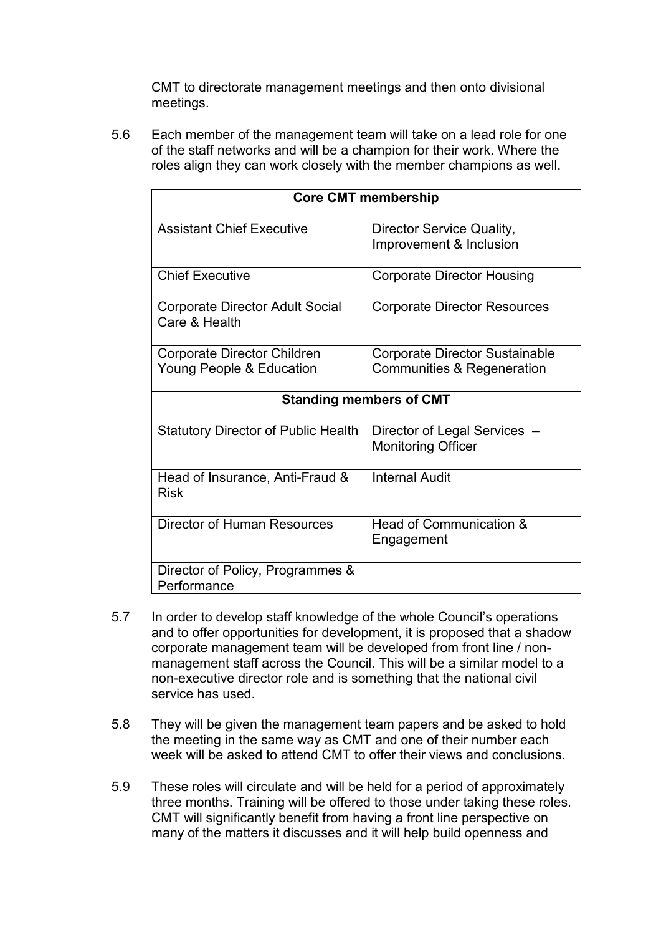CMT to directorate management meetings and then onto divisional meetings.

5.6 Each member of the management team will take on a lead role for one of the staff networks and will be a champion for their work. Where the roles align they can work closely with the member champions as well.

| <b>Core CMT membership</b>                              |                                       |  |
|---------------------------------------------------------|---------------------------------------|--|
| <b>Assistant Chief Executive</b>                        | Director Service Quality,             |  |
|                                                         | Improvement & Inclusion               |  |
| <b>Chief Executive</b>                                  | <b>Corporate Director Housing</b>     |  |
| <b>Corporate Director Adult Social</b><br>Care & Health | <b>Corporate Director Resources</b>   |  |
| <b>Corporate Director Children</b>                      | <b>Corporate Director Sustainable</b> |  |
| Young People & Education                                | <b>Communities &amp; Regeneration</b> |  |
| <b>Standing members of CMT</b>                          |                                       |  |
| <b>Statutory Director of Public Health</b>              | Director of Legal Services -          |  |
|                                                         | <b>Monitoring Officer</b>             |  |
| Head of Insurance, Anti-Fraud &<br><b>Risk</b>          | <b>Internal Audit</b>                 |  |
| <b>Director of Human Resources</b>                      | Head of Communication &<br>Engagement |  |
| Director of Policy, Programmes &<br>Performance         |                                       |  |

- 5.7 In order to develop staff knowledge of the whole Council's operations and to offer opportunities for development, it is proposed that a shadow corporate management team will be developed from front line / nonmanagement staff across the Council. This will be a similar model to a non-executive director role and is something that the national civil service has used.
- 5.8 They will be given the management team papers and be asked to hold the meeting in the same way as CMT and one of their number each week will be asked to attend CMT to offer their views and conclusions.
- 5.9 These roles will circulate and will be held for a period of approximately three months. Training will be offered to those under taking these roles. CMT will significantly benefit from having a front line perspective on many of the matters it discusses and it will help build openness and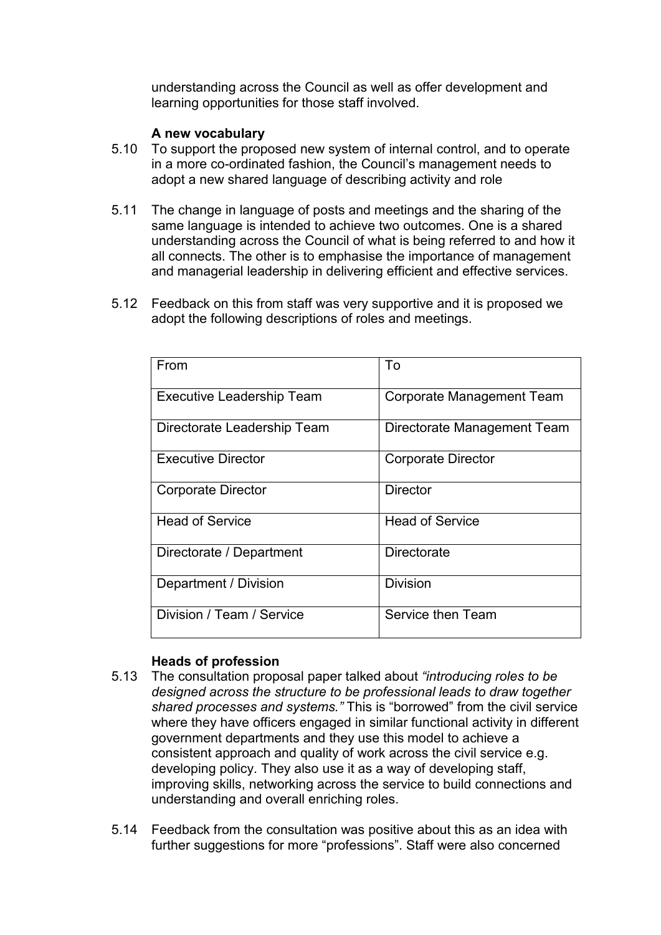understanding across the Council as well as offer development and learning opportunities for those staff involved.

### **A new vocabulary**

- 5.10 To support the proposed new system of internal control, and to operate in a more co-ordinated fashion, the Council's management needs to adopt a new shared language of describing activity and role
- 5.11 The change in language of posts and meetings and the sharing of the same language is intended to achieve two outcomes. One is a shared understanding across the Council of what is being referred to and how it all connects. The other is to emphasise the importance of management and managerial leadership in delivering efficient and effective services.
- 5.12 Feedback on this from staff was very supportive and it is proposed we adopt the following descriptions of roles and meetings.

| From                             | To                          |
|----------------------------------|-----------------------------|
| <b>Executive Leadership Team</b> | Corporate Management Team   |
| Directorate Leadership Team      | Directorate Management Team |
| <b>Executive Director</b>        | <b>Corporate Director</b>   |
| <b>Corporate Director</b>        | <b>Director</b>             |
| <b>Head of Service</b>           | <b>Head of Service</b>      |
| Directorate / Department         | Directorate                 |
| Department / Division            | <b>Division</b>             |
| Division / Team / Service        | Service then Team           |

#### **Heads of profession**

- 5.13 The consultation proposal paper talked about *"introducing roles to be designed across the structure to be professional leads to draw together shared processes and systems."* This is "borrowed" from the civil service where they have officers engaged in similar functional activity in different government departments and they use this model to achieve a consistent approach and quality of work across the civil service e.g. developing policy. They also use it as a way of developing staff, improving skills, networking across the service to build connections and understanding and overall enriching roles.
- 5.14 Feedback from the consultation was positive about this as an idea with further suggestions for more "professions". Staff were also concerned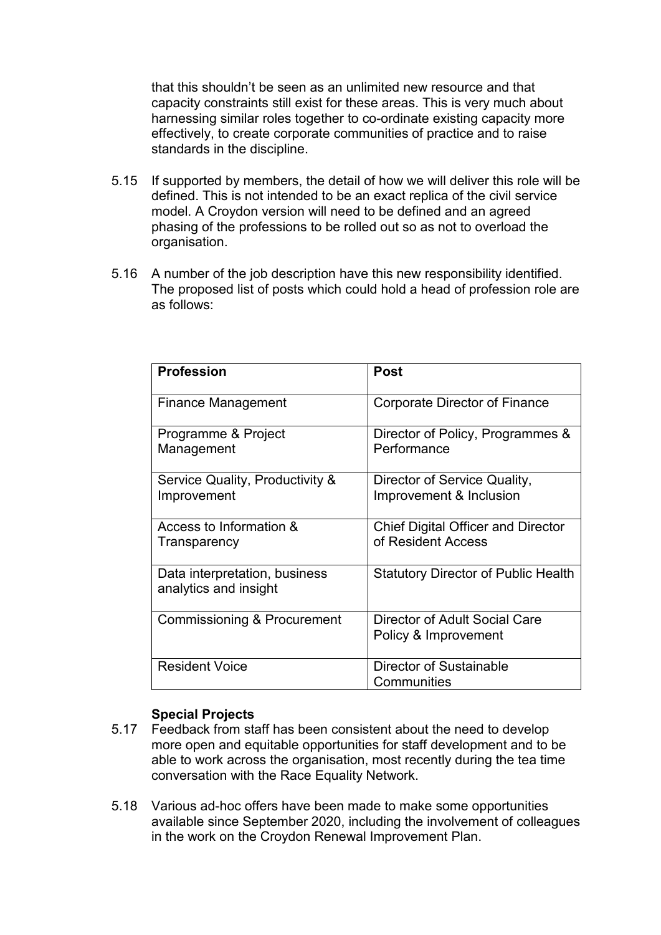that this shouldn't be seen as an unlimited new resource and that capacity constraints still exist for these areas. This is very much about harnessing similar roles together to co-ordinate existing capacity more effectively, to create corporate communities of practice and to raise standards in the discipline.

- 5.15 If supported by members, the detail of how we will deliver this role will be defined. This is not intended to be an exact replica of the civil service model. A Croydon version will need to be defined and an agreed phasing of the professions to be rolled out so as not to overload the organisation.
- 5.16 A number of the job description have this new responsibility identified. The proposed list of posts which could hold a head of profession role are as follows:

| <b>Profession</b>                                      | <b>Post</b>                                                     |
|--------------------------------------------------------|-----------------------------------------------------------------|
| <b>Finance Management</b>                              | Corporate Director of Finance                                   |
| Programme & Project<br>Management                      | Director of Policy, Programmes &<br>Performance                 |
| Service Quality, Productivity &<br>Improvement         | Director of Service Quality,<br>Improvement & Inclusion         |
| Access to Information &<br>Transparency                | <b>Chief Digital Officer and Director</b><br>of Resident Access |
| Data interpretation, business<br>analytics and insight | <b>Statutory Director of Public Health</b>                      |
| Commissioning & Procurement                            | <b>Director of Adult Social Care</b><br>Policy & Improvement    |
| <b>Resident Voice</b>                                  | Director of Sustainable<br>Communities                          |

#### **Special Projects**

- 5.17 Feedback from staff has been consistent about the need to develop more open and equitable opportunities for staff development and to be able to work across the organisation, most recently during the tea time conversation with the Race Equality Network.
- 5.18 Various ad-hoc offers have been made to make some opportunities available since September 2020, including the involvement of colleagues in the work on the Croydon Renewal Improvement Plan.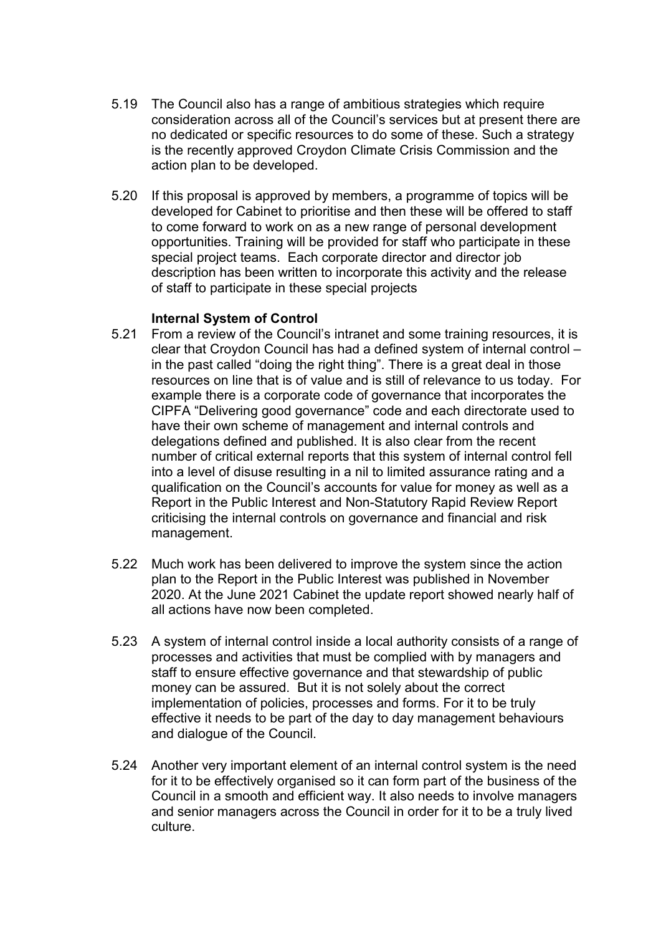- 5.19 The Council also has a range of ambitious strategies which require consideration across all of the Council's services but at present there are no dedicated or specific resources to do some of these. Such a strategy is the recently approved Croydon Climate Crisis Commission and the action plan to be developed.
- 5.20 If this proposal is approved by members, a programme of topics will be developed for Cabinet to prioritise and then these will be offered to staff to come forward to work on as a new range of personal development opportunities. Training will be provided for staff who participate in these special project teams. Each corporate director and director job description has been written to incorporate this activity and the release of staff to participate in these special projects

#### **Internal System of Control**

- 5.21 From a review of the Council's intranet and some training resources, it is clear that Croydon Council has had a defined system of internal control – in the past called "doing the right thing". There is a great deal in those resources on line that is of value and is still of relevance to us today. For example there is a corporate code of governance that incorporates the CIPFA "Delivering good governance" code and each directorate used to have their own scheme of management and internal controls and delegations defined and published. It is also clear from the recent number of critical external reports that this system of internal control fell into a level of disuse resulting in a nil to limited assurance rating and a qualification on the Council's accounts for value for money as well as a Report in the Public Interest and Non-Statutory Rapid Review Report criticising the internal controls on governance and financial and risk management.
- 5.22 Much work has been delivered to improve the system since the action plan to the Report in the Public Interest was published in November 2020. At the June 2021 Cabinet the update report showed nearly half of all actions have now been completed.
- 5.23 A system of internal control inside a local authority consists of a range of processes and activities that must be complied with by managers and staff to ensure effective governance and that stewardship of public money can be assured. But it is not solely about the correct implementation of policies, processes and forms. For it to be truly effective it needs to be part of the day to day management behaviours and dialogue of the Council.
- 5.24 Another very important element of an internal control system is the need for it to be effectively organised so it can form part of the business of the Council in a smooth and efficient way. It also needs to involve managers and senior managers across the Council in order for it to be a truly lived culture.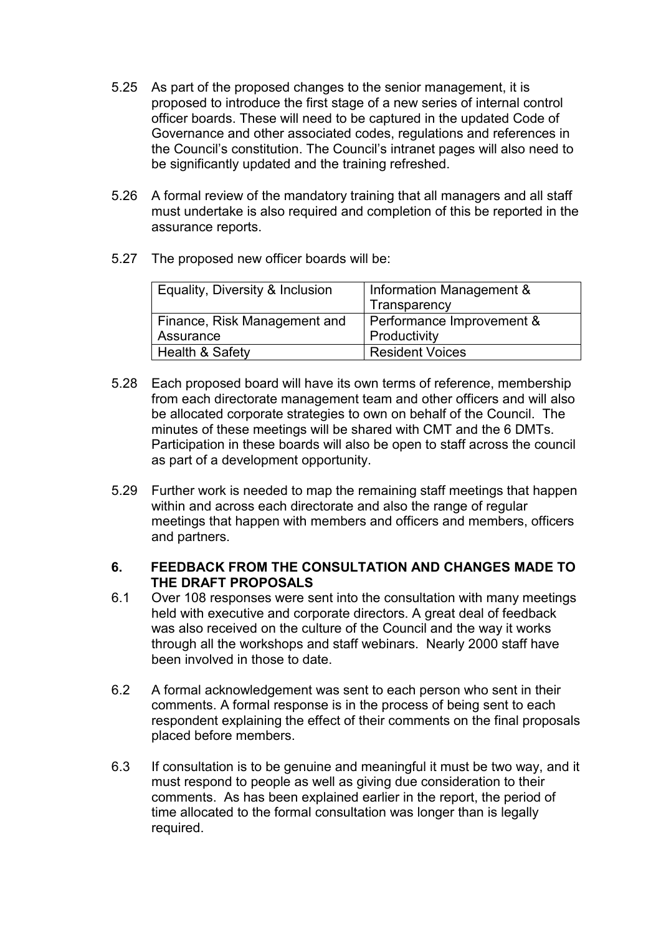- 5.25 As part of the proposed changes to the senior management, it is proposed to introduce the first stage of a new series of internal control officer boards. These will need to be captured in the updated Code of Governance and other associated codes, regulations and references in the Council's constitution. The Council's intranet pages will also need to be significantly updated and the training refreshed.
- 5.26 A formal review of the mandatory training that all managers and all staff must undertake is also required and completion of this be reported in the assurance reports.
- 5.27 The proposed new officer boards will be:

| Equality, Diversity & Inclusion | Information Management &  |  |
|---------------------------------|---------------------------|--|
|                                 | Transparency              |  |
| Finance, Risk Management and    | Performance Improvement & |  |
| Assurance                       | Productivity              |  |
| <b>Health &amp; Safety</b>      | <b>Resident Voices</b>    |  |

- 5.28 Each proposed board will have its own terms of reference, membership from each directorate management team and other officers and will also be allocated corporate strategies to own on behalf of the Council. The minutes of these meetings will be shared with CMT and the 6 DMTs. Participation in these boards will also be open to staff across the council as part of a development opportunity.
- 5.29 Further work is needed to map the remaining staff meetings that happen within and across each directorate and also the range of regular meetings that happen with members and officers and members, officers and partners.

#### **6. FEEDBACK FROM THE CONSULTATION AND CHANGES MADE TO THE DRAFT PROPOSALS**

- 6.1 Over 108 responses were sent into the consultation with many meetings held with executive and corporate directors. A great deal of feedback was also received on the culture of the Council and the way it works through all the workshops and staff webinars. Nearly 2000 staff have been involved in those to date.
- 6.2 A formal acknowledgement was sent to each person who sent in their comments. A formal response is in the process of being sent to each respondent explaining the effect of their comments on the final proposals placed before members.
- 6.3 If consultation is to be genuine and meaningful it must be two way, and it must respond to people as well as giving due consideration to their comments. As has been explained earlier in the report, the period of time allocated to the formal consultation was longer than is legally required.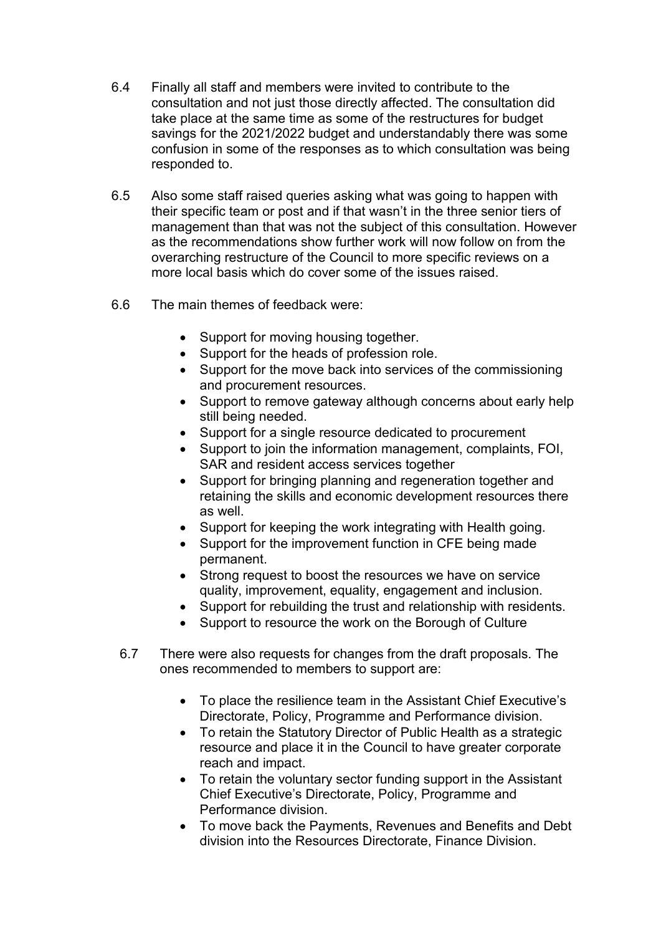- 6.4 Finally all staff and members were invited to contribute to the consultation and not just those directly affected. The consultation did take place at the same time as some of the restructures for budget savings for the 2021/2022 budget and understandably there was some confusion in some of the responses as to which consultation was being responded to.
- 6.5 Also some staff raised queries asking what was going to happen with their specific team or post and if that wasn't in the three senior tiers of management than that was not the subject of this consultation. However as the recommendations show further work will now follow on from the overarching restructure of the Council to more specific reviews on a more local basis which do cover some of the issues raised.
- 6.6 The main themes of feedback were:
	- Support for moving housing together.
	- Support for the heads of profession role.
	- Support for the move back into services of the commissioning and procurement resources.
	- Support to remove gateway although concerns about early help still being needed.
	- Support for a single resource dedicated to procurement
	- Support to join the information management, complaints, FOI, SAR and resident access services together
	- Support for bringing planning and regeneration together and retaining the skills and economic development resources there as well.
	- Support for keeping the work integrating with Health going.
	- Support for the improvement function in CFE being made permanent.
	- Strong request to boost the resources we have on service quality, improvement, equality, engagement and inclusion.
	- Support for rebuilding the trust and relationship with residents.
	- Support to resource the work on the Borough of Culture
	- 6.7 There were also requests for changes from the draft proposals. The ones recommended to members to support are:
		- To place the resilience team in the Assistant Chief Executive's Directorate, Policy, Programme and Performance division.
		- To retain the Statutory Director of Public Health as a strategic resource and place it in the Council to have greater corporate reach and impact.
		- To retain the voluntary sector funding support in the Assistant Chief Executive's Directorate, Policy, Programme and Performance division.
		- To move back the Payments, Revenues and Benefits and Debt division into the Resources Directorate, Finance Division.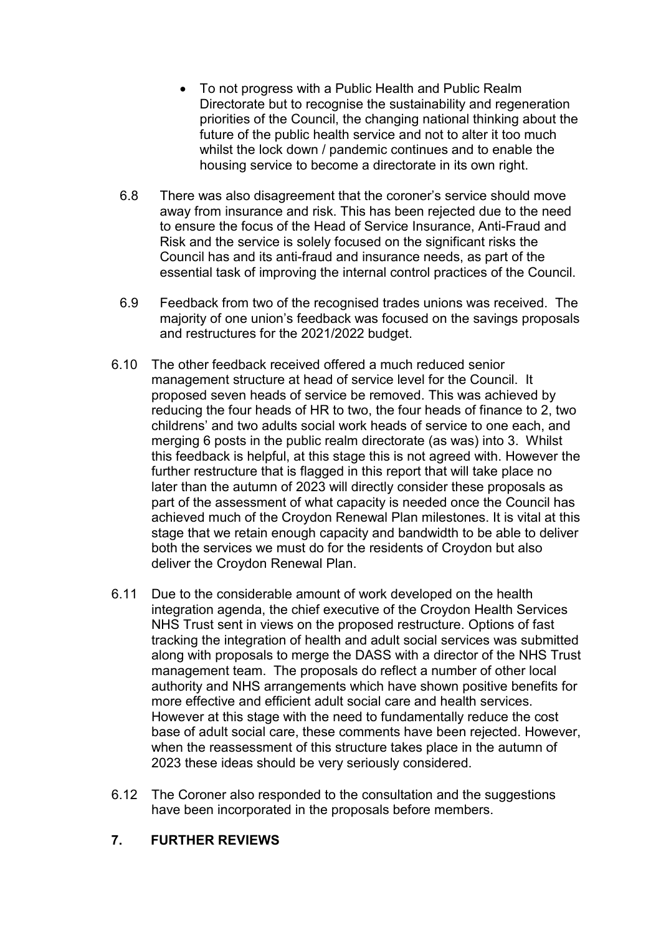- To not progress with a Public Health and Public Realm Directorate but to recognise the sustainability and regeneration priorities of the Council, the changing national thinking about the future of the public health service and not to alter it too much whilst the lock down / pandemic continues and to enable the housing service to become a directorate in its own right.
- 6.8 There was also disagreement that the coroner's service should move away from insurance and risk. This has been rejected due to the need to ensure the focus of the Head of Service Insurance, Anti-Fraud and Risk and the service is solely focused on the significant risks the Council has and its anti-fraud and insurance needs, as part of the essential task of improving the internal control practices of the Council.
- 6.9 Feedback from two of the recognised trades unions was received. The majority of one union's feedback was focused on the savings proposals and restructures for the 2021/2022 budget.
- 6.10 The other feedback received offered a much reduced senior management structure at head of service level for the Council. It proposed seven heads of service be removed. This was achieved by reducing the four heads of HR to two, the four heads of finance to 2, two childrens' and two adults social work heads of service to one each, and merging 6 posts in the public realm directorate (as was) into 3. Whilst this feedback is helpful, at this stage this is not agreed with. However the further restructure that is flagged in this report that will take place no later than the autumn of 2023 will directly consider these proposals as part of the assessment of what capacity is needed once the Council has achieved much of the Croydon Renewal Plan milestones. It is vital at this stage that we retain enough capacity and bandwidth to be able to deliver both the services we must do for the residents of Croydon but also deliver the Croydon Renewal Plan.
- 6.11 Due to the considerable amount of work developed on the health integration agenda, the chief executive of the Croydon Health Services NHS Trust sent in views on the proposed restructure. Options of fast tracking the integration of health and adult social services was submitted along with proposals to merge the DASS with a director of the NHS Trust management team. The proposals do reflect a number of other local authority and NHS arrangements which have shown positive benefits for more effective and efficient adult social care and health services. However at this stage with the need to fundamentally reduce the cost base of adult social care, these comments have been rejected. However, when the reassessment of this structure takes place in the autumn of 2023 these ideas should be very seriously considered.
- 6.12 The Coroner also responded to the consultation and the suggestions have been incorporated in the proposals before members.

## **7. FURTHER REVIEWS**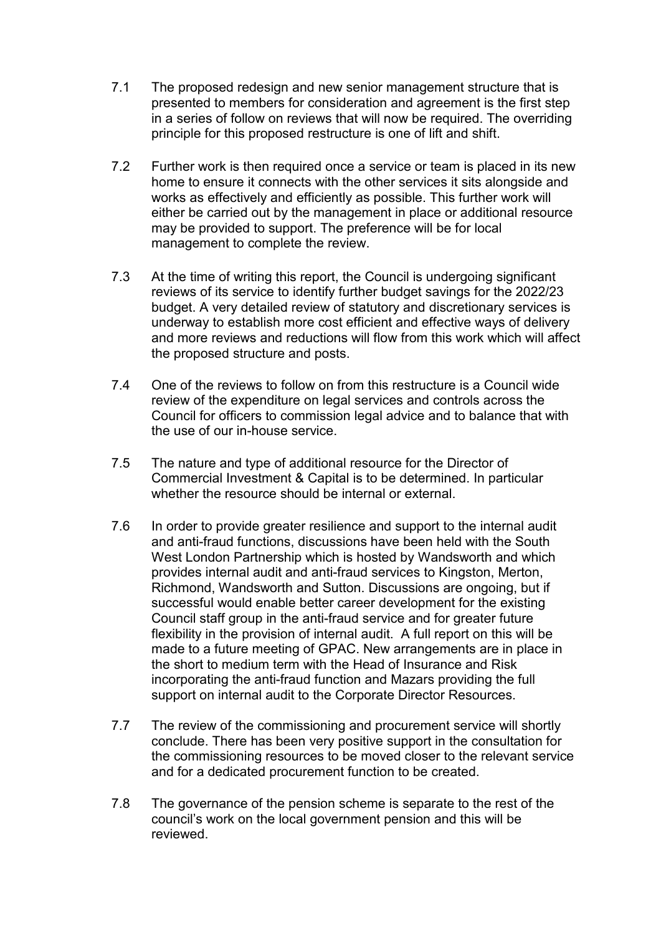- 7.1 The proposed redesign and new senior management structure that is presented to members for consideration and agreement is the first step in a series of follow on reviews that will now be required. The overriding principle for this proposed restructure is one of lift and shift.
- 7.2 Further work is then required once a service or team is placed in its new home to ensure it connects with the other services it sits alongside and works as effectively and efficiently as possible. This further work will either be carried out by the management in place or additional resource may be provided to support. The preference will be for local management to complete the review.
- 7.3 At the time of writing this report, the Council is undergoing significant reviews of its service to identify further budget savings for the 2022/23 budget. A very detailed review of statutory and discretionary services is underway to establish more cost efficient and effective ways of delivery and more reviews and reductions will flow from this work which will affect the proposed structure and posts.
- 7.4 One of the reviews to follow on from this restructure is a Council wide review of the expenditure on legal services and controls across the Council for officers to commission legal advice and to balance that with the use of our in-house service.
- 7.5 The nature and type of additional resource for the Director of Commercial Investment & Capital is to be determined. In particular whether the resource should be internal or external
- 7.6 In order to provide greater resilience and support to the internal audit and anti-fraud functions, discussions have been held with the South West London Partnership which is hosted by Wandsworth and which provides internal audit and anti-fraud services to Kingston, Merton, Richmond, Wandsworth and Sutton. Discussions are ongoing, but if successful would enable better career development for the existing Council staff group in the anti-fraud service and for greater future flexibility in the provision of internal audit. A full report on this will be made to a future meeting of GPAC. New arrangements are in place in the short to medium term with the Head of Insurance and Risk incorporating the anti-fraud function and Mazars providing the full support on internal audit to the Corporate Director Resources.
- 7.7 The review of the commissioning and procurement service will shortly conclude. There has been very positive support in the consultation for the commissioning resources to be moved closer to the relevant service and for a dedicated procurement function to be created.
- 7.8 The governance of the pension scheme is separate to the rest of the council's work on the local government pension and this will be reviewed.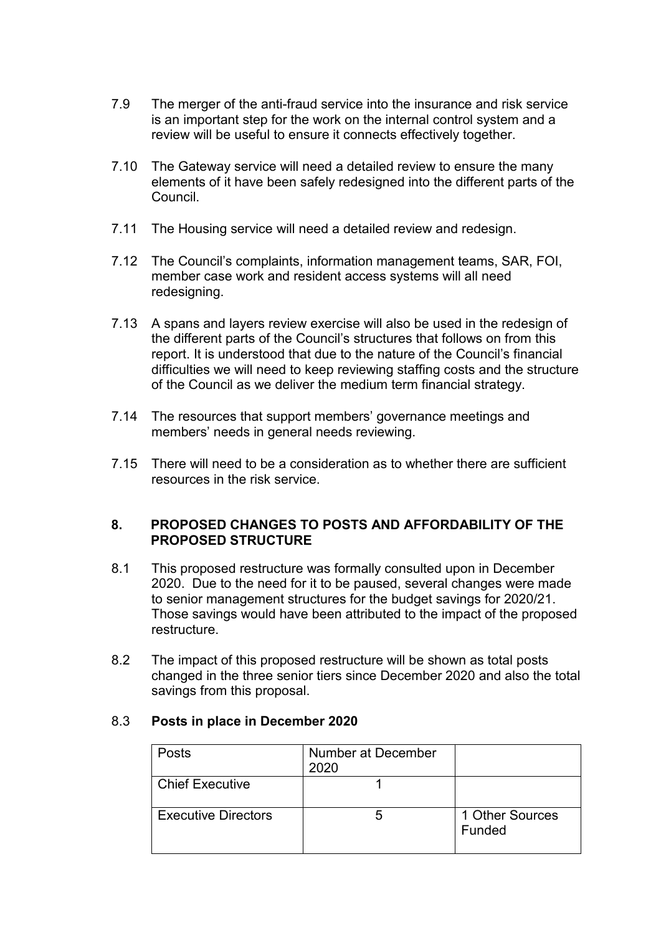- 7.9 The merger of the anti-fraud service into the insurance and risk service is an important step for the work on the internal control system and a review will be useful to ensure it connects effectively together.
- 7.10 The Gateway service will need a detailed review to ensure the many elements of it have been safely redesigned into the different parts of the Council.
- 7.11 The Housing service will need a detailed review and redesign.
- 7.12 The Council's complaints, information management teams, SAR, FOI, member case work and resident access systems will all need redesigning.
- 7.13 A spans and layers review exercise will also be used in the redesign of the different parts of the Council's structures that follows on from this report. It is understood that due to the nature of the Council's financial difficulties we will need to keep reviewing staffing costs and the structure of the Council as we deliver the medium term financial strategy.
- 7.14 The resources that support members' governance meetings and members' needs in general needs reviewing.
- 7.15 There will need to be a consideration as to whether there are sufficient resources in the risk service.

#### **8. PROPOSED CHANGES TO POSTS AND AFFORDABILITY OF THE PROPOSED STRUCTURE**

- 8.1 This proposed restructure was formally consulted upon in December 2020. Due to the need for it to be paused, several changes were made to senior management structures for the budget savings for 2020/21. Those savings would have been attributed to the impact of the proposed restructure.
- 8.2 The impact of this proposed restructure will be shown as total posts changed in the three senior tiers since December 2020 and also the total savings from this proposal.

#### 8.3 **Posts in place in December 2020**

| Posts                      | Number at December<br>2020 |                           |
|----------------------------|----------------------------|---------------------------|
| <b>Chief Executive</b>     |                            |                           |
| <b>Executive Directors</b> |                            | 1 Other Sources<br>Funded |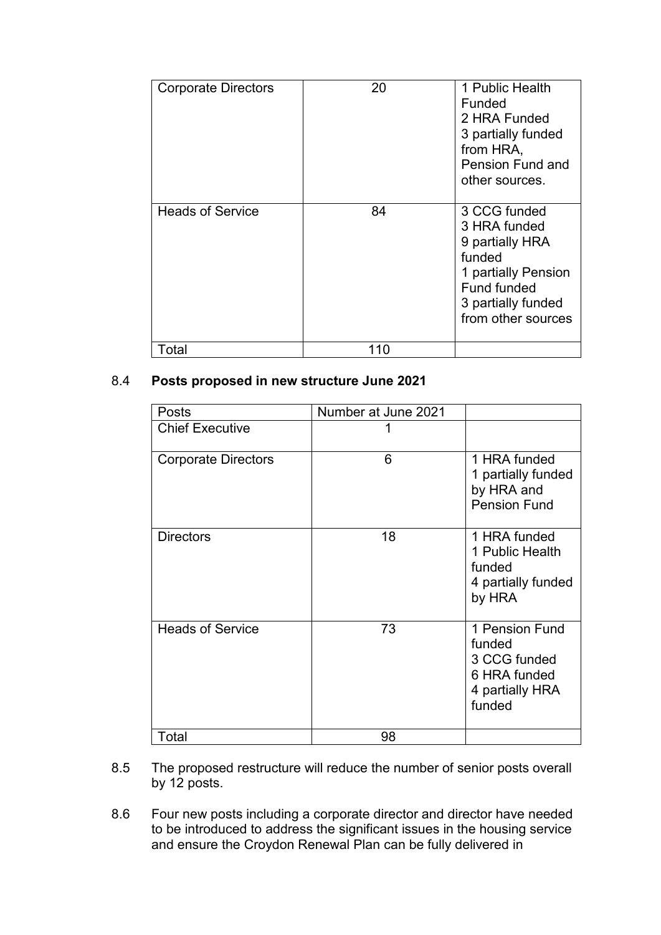| <b>Corporate Directors</b> | 20  | 1 Public Health<br>Funded<br>2 HRA Funded<br>3 partially funded<br>from HRA,<br><b>Pension Fund and</b><br>other sources.                   |
|----------------------------|-----|---------------------------------------------------------------------------------------------------------------------------------------------|
| <b>Heads of Service</b>    | 84  | 3 CCG funded<br>3 HRA funded<br>9 partially HRA<br>funded<br>1 partially Pension<br>Fund funded<br>3 partially funded<br>from other sources |
| Total                      | 110 |                                                                                                                                             |

## 8.4 **Posts proposed in new structure June 2021**

| Posts                      | Number at June 2021 |                                                                                       |
|----------------------------|---------------------|---------------------------------------------------------------------------------------|
| <b>Chief Executive</b>     |                     |                                                                                       |
| <b>Corporate Directors</b> | 6                   | 1 HRA funded<br>1 partially funded<br>by HRA and<br><b>Pension Fund</b>               |
| <b>Directors</b>           | 18                  | 1 HRA funded<br>1 Public Health<br>funded<br>4 partially funded<br>by HRA             |
| <b>Heads of Service</b>    | 73                  | 1 Pension Fund<br>funded<br>3 CCG funded<br>6 HRA funded<br>4 partially HRA<br>funded |
| Total                      | 98                  |                                                                                       |

- 8.5 The proposed restructure will reduce the number of senior posts overall by 12 posts.
- 8.6 Four new posts including a corporate director and director have needed to be introduced to address the significant issues in the housing service and ensure the Croydon Renewal Plan can be fully delivered in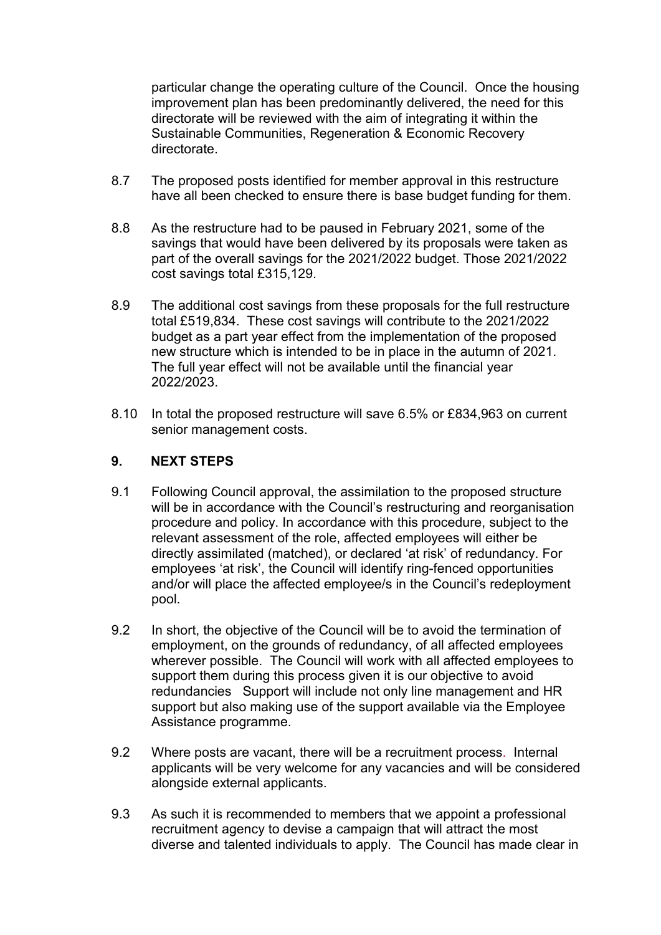particular change the operating culture of the Council. Once the housing improvement plan has been predominantly delivered, the need for this directorate will be reviewed with the aim of integrating it within the Sustainable Communities, Regeneration & Economic Recovery directorate.

- 8.7 The proposed posts identified for member approval in this restructure have all been checked to ensure there is base budget funding for them.
- 8.8 As the restructure had to be paused in February 2021, some of the savings that would have been delivered by its proposals were taken as part of the overall savings for the 2021/2022 budget. Those 2021/2022 cost savings total £315,129.
- 8.9 The additional cost savings from these proposals for the full restructure total £519,834. These cost savings will contribute to the 2021/2022 budget as a part year effect from the implementation of the proposed new structure which is intended to be in place in the autumn of 2021. The full year effect will not be available until the financial year 2022/2023.
- 8.10 In total the proposed restructure will save 6.5% or £834,963 on current senior management costs.

### **9. NEXT STEPS**

- 9.1 Following Council approval, the assimilation to the proposed structure will be in accordance with the Council's restructuring and reorganisation procedure and policy. In accordance with this procedure, subject to the relevant assessment of the role, affected employees will either be directly assimilated (matched), or declared 'at risk' of redundancy. For employees 'at risk', the Council will identify ring-fenced opportunities and/or will place the affected employee/s in the Council's redeployment pool.
- 9.2 In short, the objective of the Council will be to avoid the termination of employment, on the grounds of redundancy, of all affected employees wherever possible. The Council will work with all affected employees to support them during this process given it is our objective to avoid redundancies Support will include not only line management and HR support but also making use of the support available via the Employee Assistance programme.
- 9.2 Where posts are vacant, there will be a recruitment process. Internal applicants will be very welcome for any vacancies and will be considered alongside external applicants.
- 9.3 As such it is recommended to members that we appoint a professional recruitment agency to devise a campaign that will attract the most diverse and talented individuals to apply. The Council has made clear in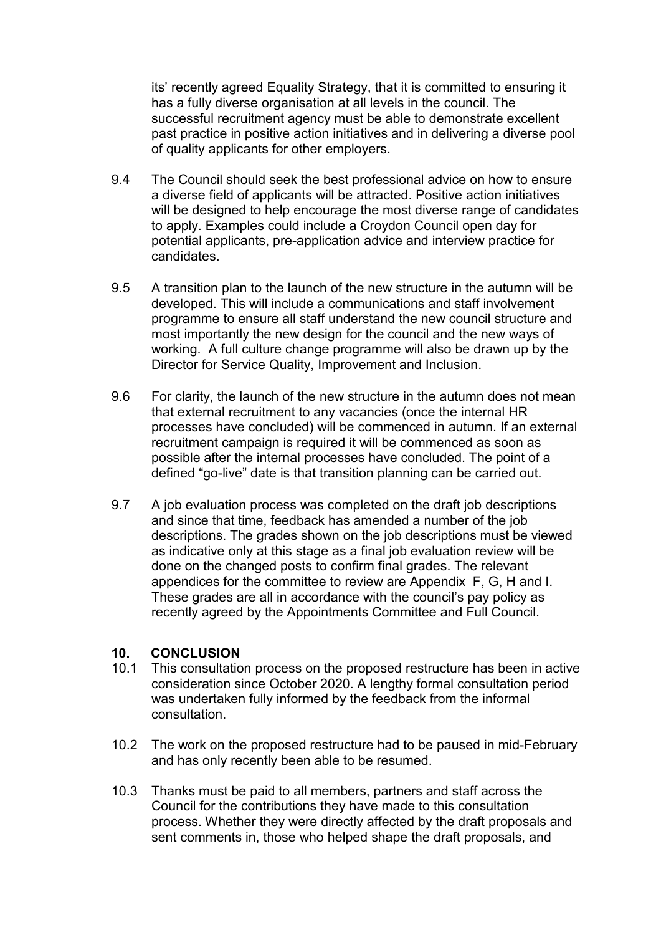its' recently agreed Equality Strategy, that it is committed to ensuring it has a fully diverse organisation at all levels in the council. The successful recruitment agency must be able to demonstrate excellent past practice in positive action initiatives and in delivering a diverse pool of quality applicants for other employers.

- 9.4 The Council should seek the best professional advice on how to ensure a diverse field of applicants will be attracted. Positive action initiatives will be designed to help encourage the most diverse range of candidates to apply. Examples could include a Croydon Council open day for potential applicants, pre-application advice and interview practice for candidates.
- 9.5 A transition plan to the launch of the new structure in the autumn will be developed. This will include a communications and staff involvement programme to ensure all staff understand the new council structure and most importantly the new design for the council and the new ways of working. A full culture change programme will also be drawn up by the Director for Service Quality, Improvement and Inclusion.
- 9.6 For clarity, the launch of the new structure in the autumn does not mean that external recruitment to any vacancies (once the internal HR processes have concluded) will be commenced in autumn. If an external recruitment campaign is required it will be commenced as soon as possible after the internal processes have concluded. The point of a defined "go-live" date is that transition planning can be carried out.
- 9.7 A job evaluation process was completed on the draft job descriptions and since that time, feedback has amended a number of the job descriptions. The grades shown on the job descriptions must be viewed as indicative only at this stage as a final job evaluation review will be done on the changed posts to confirm final grades. The relevant appendices for the committee to review are Appendix F, G, H and I. These grades are all in accordance with the council's pay policy as recently agreed by the Appointments Committee and Full Council.

#### **10. CONCLUSION**

- 10.1 This consultation process on the proposed restructure has been in active consideration since October 2020. A lengthy formal consultation period was undertaken fully informed by the feedback from the informal consultation.
- 10.2 The work on the proposed restructure had to be paused in mid-February and has only recently been able to be resumed.
- 10.3 Thanks must be paid to all members, partners and staff across the Council for the contributions they have made to this consultation process. Whether they were directly affected by the draft proposals and sent comments in, those who helped shape the draft proposals, and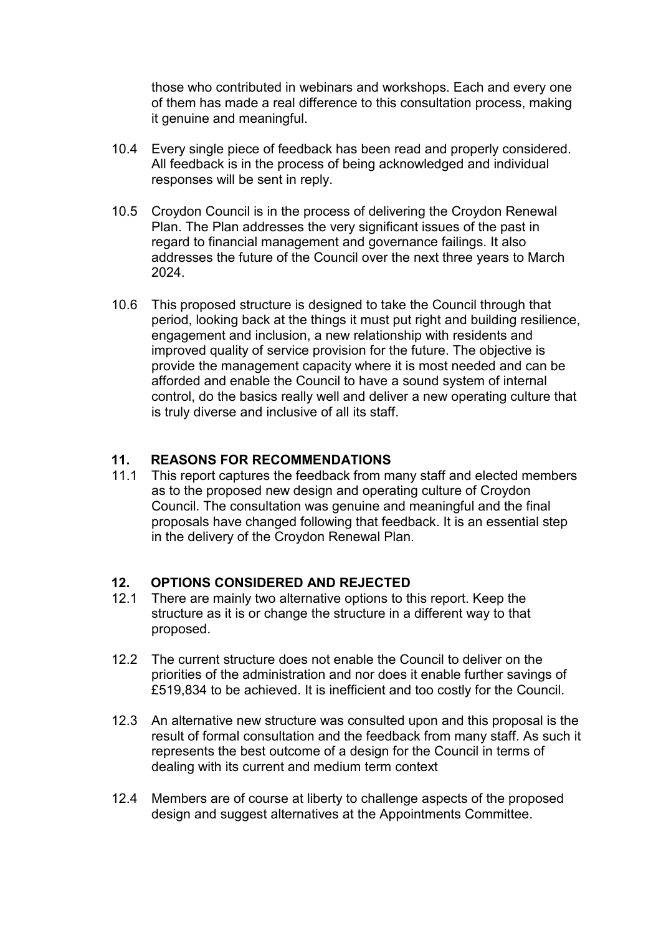those who contributed in webinars and workshops. Each and every one of them has made a real difference to this consultation process, making it genuine and meaningful.

- 10.4 Every single piece of feedback has been read and properly considered. All feedback is in the process of being acknowledged and individual responses will be sent in reply.
- 10.5 Croydon Council is in the process of delivering the Croydon Renewal Plan. The Plan addresses the very significant issues of the past in regard to financial management and governance failings. It also addresses the future of the Council over the next three years to March 2024.
- 10.6 This proposed structure is designed to take the Council through that period, looking back at the things it must put right and building resilience, engagement and inclusion, a new relationship with residents and improved quality of service provision for the future. The objective is provide the management capacity where it is most needed and can be afforded and enable the Council to have a sound system of internal control, do the basics really well and deliver a new operating culture that is truly diverse and inclusive of all its staff.

#### **11. REASONS FOR RECOMMENDATIONS**

11.1 This report captures the feedback from many staff and elected members as to the proposed new design and operating culture of Croydon Council. The consultation was genuine and meaningful and the final proposals have changed following that feedback. It is an essential step in the delivery of the Croydon Renewal Plan.

#### **12. OPTIONS CONSIDERED AND REJECTED**

- 12.1 There are mainly two alternative options to this report. Keep the structure as it is or change the structure in a different way to that proposed.
- 12.2 The current structure does not enable the Council to deliver on the priorities of the administration and nor does it enable further savings of £519,834 to be achieved. It is inefficient and too costly for the Council.
- 12.3 An alternative new structure was consulted upon and this proposal is the result of formal consultation and the feedback from many staff. As such it represents the best outcome of a design for the Council in terms of dealing with its current and medium term context
- 12.4 Members are of course at liberty to challenge aspects of the proposed design and suggest alternatives at the Appointments Committee.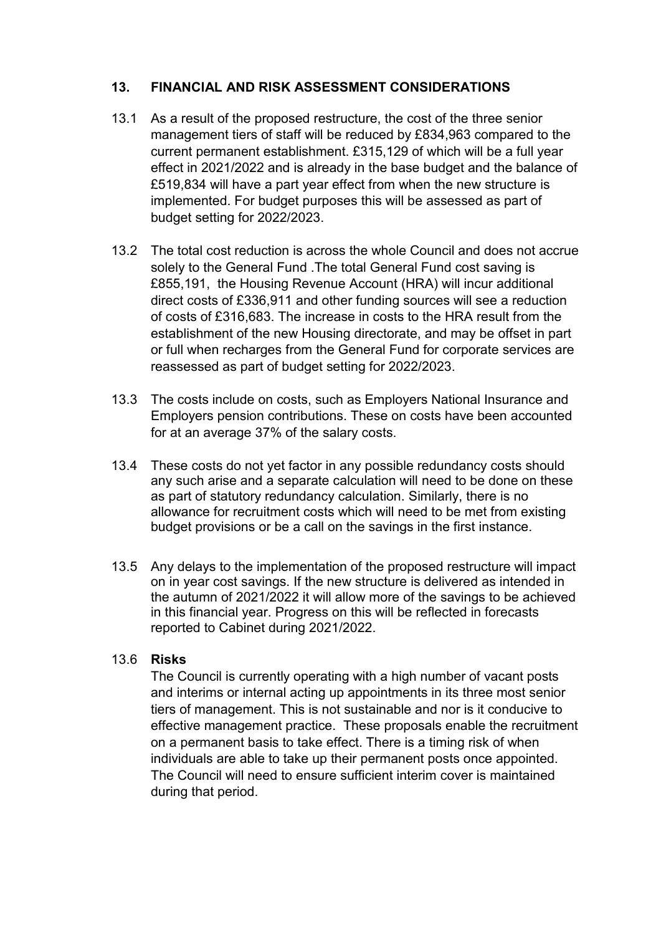### **13. FINANCIAL AND RISK ASSESSMENT CONSIDERATIONS**

- 13.1 As a result of the proposed restructure, the cost of the three senior management tiers of staff will be reduced by £834,963 compared to the current permanent establishment. £315,129 of which will be a full year effect in 2021/2022 and is already in the base budget and the balance of £519,834 will have a part year effect from when the new structure is implemented. For budget purposes this will be assessed as part of budget setting for 2022/2023.
- 13.2 The total cost reduction is across the whole Council and does not accrue solely to the General Fund .The total General Fund cost saving is £855,191, the Housing Revenue Account (HRA) will incur additional direct costs of £336,911 and other funding sources will see a reduction of costs of £316,683. The increase in costs to the HRA result from the establishment of the new Housing directorate, and may be offset in part or full when recharges from the General Fund for corporate services are reassessed as part of budget setting for 2022/2023.
- 13.3 The costs include on costs, such as Employers National Insurance and Employers pension contributions. These on costs have been accounted for at an average 37% of the salary costs.
- 13.4 These costs do not yet factor in any possible redundancy costs should any such arise and a separate calculation will need to be done on these as part of statutory redundancy calculation. Similarly, there is no allowance for recruitment costs which will need to be met from existing budget provisions or be a call on the savings in the first instance.
- 13.5 Any delays to the implementation of the proposed restructure will impact on in year cost savings. If the new structure is delivered as intended in the autumn of 2021/2022 it will allow more of the savings to be achieved in this financial year. Progress on this will be reflected in forecasts reported to Cabinet during 2021/2022.

#### 13.6 **Risks**

The Council is currently operating with a high number of vacant posts and interims or internal acting up appointments in its three most senior tiers of management. This is not sustainable and nor is it conducive to effective management practice. These proposals enable the recruitment on a permanent basis to take effect. There is a timing risk of when individuals are able to take up their permanent posts once appointed. The Council will need to ensure sufficient interim cover is maintained during that period.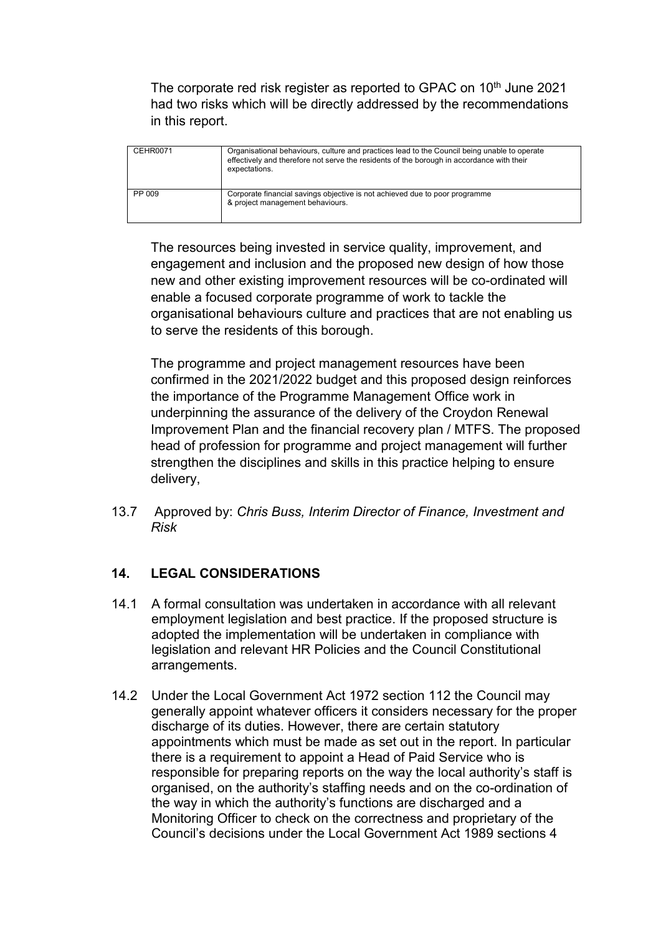The corporate red risk register as reported to GPAC on 10<sup>th</sup> June 2021 had two risks which will be directly addressed by the recommendations in this report.

| CEHR0071 | Organisational behaviours, culture and practices lead to the Council being unable to operate<br>effectively and therefore not serve the residents of the borough in accordance with their<br>expectations. |
|----------|------------------------------------------------------------------------------------------------------------------------------------------------------------------------------------------------------------|
| PP 009   | Corporate financial savings objective is not achieved due to poor programme<br>& project management behaviours.                                                                                            |

The resources being invested in service quality, improvement, and engagement and inclusion and the proposed new design of how those new and other existing improvement resources will be co-ordinated will enable a focused corporate programme of work to tackle the organisational behaviours culture and practices that are not enabling us to serve the residents of this borough.

The programme and project management resources have been confirmed in the 2021/2022 budget and this proposed design reinforces the importance of the Programme Management Office work in underpinning the assurance of the delivery of the Croydon Renewal Improvement Plan and the financial recovery plan / MTFS. The proposed head of profession for programme and project management will further strengthen the disciplines and skills in this practice helping to ensure delivery,

13.7 Approved by: *Chris Buss, Interim Director of Finance, Investment and Risk*

## **14. LEGAL CONSIDERATIONS**

- 14.1 A formal consultation was undertaken in accordance with all relevant employment legislation and best practice. If the proposed structure is adopted the implementation will be undertaken in compliance with legislation and relevant HR Policies and the Council Constitutional arrangements.
- 14.2 Under the Local Government Act 1972 section 112 the Council may generally appoint whatever officers it considers necessary for the proper discharge of its duties. However, there are certain statutory appointments which must be made as set out in the report. In particular there is a requirement to appoint a Head of Paid Service who is responsible for preparing reports on the way the local authority's staff is organised, on the authority's staffing needs and on the co-ordination of the way in which the authority's functions are discharged and a Monitoring Officer to check on the correctness and proprietary of the Council's decisions under the Local Government Act 1989 sections 4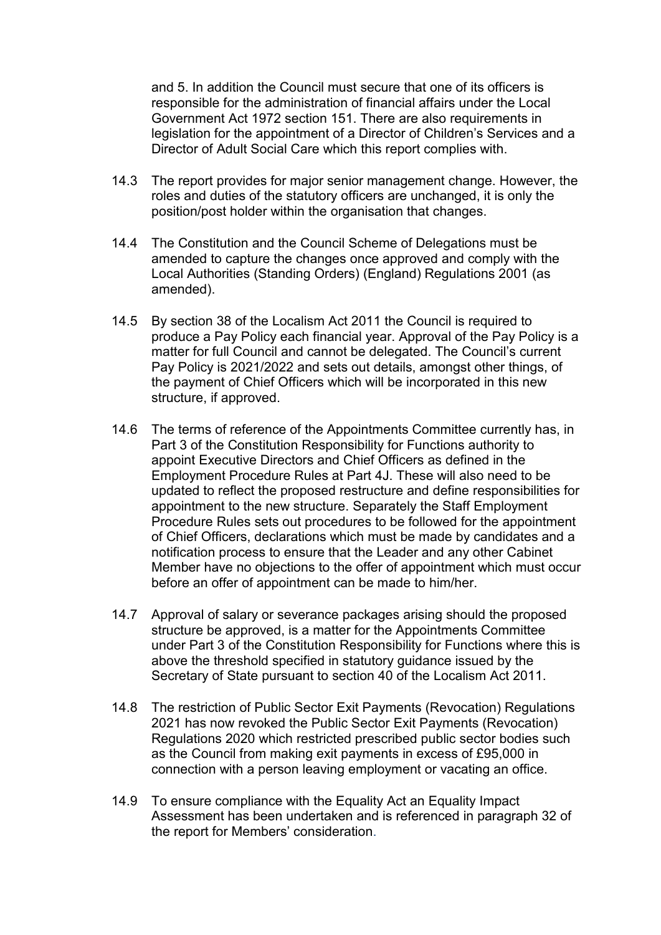and 5. In addition the Council must secure that one of its officers is responsible for the administration of financial affairs under the Local Government Act 1972 section 151. There are also requirements in legislation for the appointment of a Director of Children's Services and a Director of Adult Social Care which this report complies with.

- 14.3 The report provides for major senior management change. However, the roles and duties of the statutory officers are unchanged, it is only the position/post holder within the organisation that changes.
- 14.4 The Constitution and the Council Scheme of Delegations must be amended to capture the changes once approved and comply with the Local Authorities (Standing Orders) (England) Regulations 2001 (as amended).
- 14.5 By section 38 of the Localism Act 2011 the Council is required to produce a Pay Policy each financial year. Approval of the Pay Policy is a matter for full Council and cannot be delegated. The Council's current Pay Policy is 2021/2022 and sets out details, amongst other things, of the payment of Chief Officers which will be incorporated in this new structure, if approved.
- 14.6 The terms of reference of the Appointments Committee currently has, in Part 3 of the Constitution Responsibility for Functions authority to appoint Executive Directors and Chief Officers as defined in the Employment Procedure Rules at Part 4J. These will also need to be updated to reflect the proposed restructure and define responsibilities for appointment to the new structure. Separately the Staff Employment Procedure Rules sets out procedures to be followed for the appointment of Chief Officers, declarations which must be made by candidates and a notification process to ensure that the Leader and any other Cabinet Member have no objections to the offer of appointment which must occur before an offer of appointment can be made to him/her.
- 14.7 Approval of salary or severance packages arising should the proposed structure be approved, is a matter for the Appointments Committee under Part 3 of the Constitution Responsibility for Functions where this is above the threshold specified in statutory guidance issued by the Secretary of State pursuant to section 40 of the Localism Act 2011.
- 14.8 The restriction of Public Sector Exit Payments (Revocation) Regulations 2021 has now revoked the Public Sector Exit Payments (Revocation) Regulations 2020 which restricted prescribed public sector bodies such as the Council from making exit payments in excess of £95,000 in connection with a person leaving employment or vacating an office.
- 14.9 To ensure compliance with the Equality Act an Equality Impact Assessment has been undertaken and is referenced in paragraph 32 of the report for Members' consideration.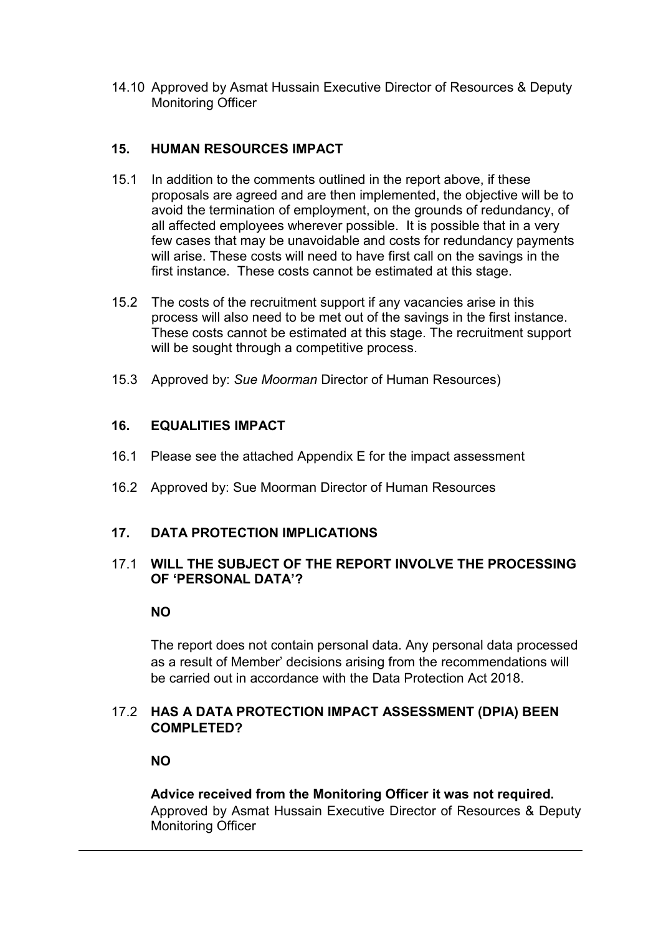14.10 Approved by Asmat Hussain Executive Director of Resources & Deputy Monitoring Officer

## **15. HUMAN RESOURCES IMPACT**

- 15.1 In addition to the comments outlined in the report above, if these proposals are agreed and are then implemented, the objective will be to avoid the termination of employment, on the grounds of redundancy, of all affected employees wherever possible. It is possible that in a very few cases that may be unavoidable and costs for redundancy payments will arise. These costs will need to have first call on the savings in the first instance. These costs cannot be estimated at this stage.
- 15.2 The costs of the recruitment support if any vacancies arise in this process will also need to be met out of the savings in the first instance. These costs cannot be estimated at this stage. The recruitment support will be sought through a competitive process.
- 15.3 Approved by: *Sue Moorman* Director of Human Resources)

## **16. EQUALITIES IMPACT**

- 16.1 Please see the attached Appendix E for the impact assessment
- 16.2 Approved by: Sue Moorman Director of Human Resources

## **17. DATA PROTECTION IMPLICATIONS**

#### 17.1 **WILL THE SUBJECT OF THE REPORT INVOLVE THE PROCESSING OF 'PERSONAL DATA'?**

## **NO**

The report does not contain personal data. Any personal data processed as a result of Member' decisions arising from the recommendations will be carried out in accordance with the Data Protection Act 2018.

## 17.2 **HAS A DATA PROTECTION IMPACT ASSESSMENT (DPIA) BEEN COMPLETED?**

#### **NO**

**Advice received from the Monitoring Officer it was not required.**  Approved by Asmat Hussain Executive Director of Resources & Deputy Monitoring Officer